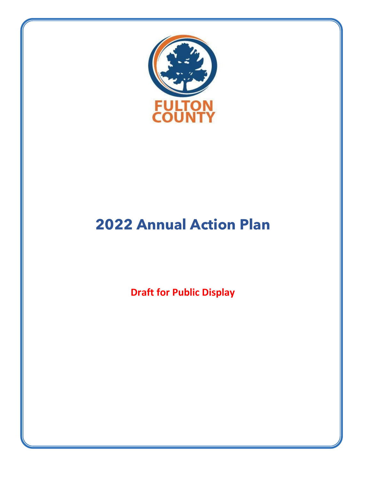

# **2022 Annual Action Plan**

**Draft for Public Display**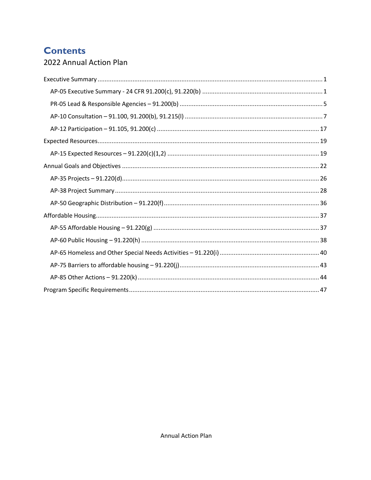## **Contents**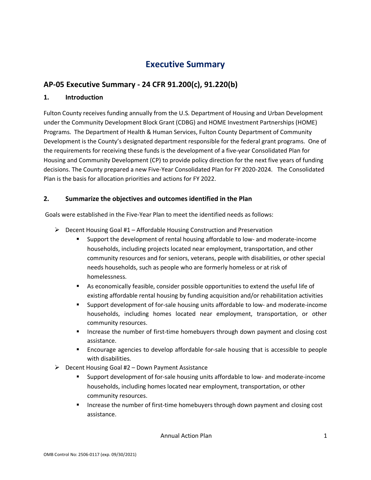## **Executive Summary**

## <span id="page-2-1"></span><span id="page-2-0"></span>**AP-05 Executive Summary - 24 CFR 91.200(c), 91.220(b)**

#### **1. Introduction**

Fulton County receives funding annually from the U.S. Department of Housing and Urban Development under the Community Development Block Grant (CDBG) and HOME Investment Partnerships (HOME) Programs. The Department of Health & Human Services, Fulton County Department of Community Development is the County's designated department responsible for the federal grant programs. One of the requirements for receiving these funds is the development of a five-year Consolidated Plan for Housing and Community Development (CP) to provide policy direction for the next five years of funding decisions. The County prepared a new Five-Year Consolidated Plan for FY 2020-2024. The Consolidated Plan is the basis for allocation priorities and actions for FY 2022.

#### **2. Summarize the objectives and outcomes identified in the Plan**

Goals were established in the Five-Year Plan to meet the identified needs as follows:

- $\triangleright$  Decent Housing Goal #1 Affordable Housing Construction and Preservation
	- Support the development of rental housing affordable to low- and moderate-income households, including projects located near employment, transportation, and other community resources and for seniors, veterans, people with disabilities, or other special needs households, such as people who are formerly homeless or at risk of homelessness.
	- As economically feasible, consider possible opportunities to extend the useful life of existing affordable rental housing by funding acquisition and/or rehabilitation activities
	- Support development of for-sale housing units affordable to low- and moderate-income households, including homes located near employment, transportation, or other community resources.
	- **Increase the number of first-time homebuyers through down payment and closing cost** assistance.
	- Encourage agencies to develop affordable for-sale housing that is accessible to people with disabilities.
- $\triangleright$  Decent Housing Goal #2 Down Payment Assistance
	- Support development of for-sale housing units affordable to low- and moderate-income households, including homes located near employment, transportation, or other community resources.
	- **Increase the number of first-time homebuyers through down payment and closing cost** assistance.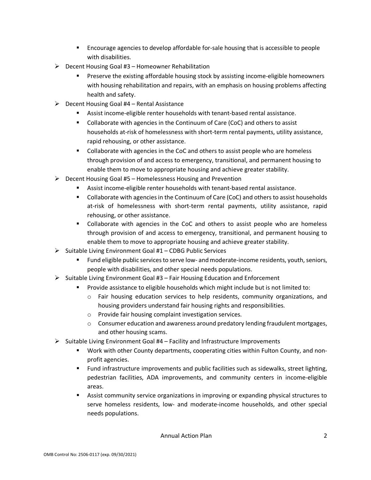- Encourage agencies to develop affordable for-sale housing that is accessible to people with disabilities.
- $\triangleright$  Decent Housing Goal #3 Homeowner Rehabilitation
	- Preserve the existing affordable housing stock by assisting income-eligible homeowners with housing rehabilitation and repairs, with an emphasis on housing problems affecting health and safety.
- $\triangleright$  Decent Housing Goal #4 Rental Assistance
	- Assist income-eligible renter households with tenant-based rental assistance.
	- Collaborate with agencies in the Continuum of Care (CoC) and others to assist households at-risk of homelessness with short-term rental payments, utility assistance, rapid rehousing, or other assistance.
	- Collaborate with agencies in the CoC and others to assist people who are homeless through provision of and access to emergency, transitional, and permanent housing to enable them to move to appropriate housing and achieve greater stability.
- Decent Housing Goal #5 Homelessness Housing and Prevention
	- Assist income-eligible renter households with tenant-based rental assistance.
	- Collaborate with agencies in the Continuum of Care (CoC) and others to assist households at-risk of homelessness with short-term rental payments, utility assistance, rapid rehousing, or other assistance.
	- **Collaborate with agencies in the CoC and others to assist people who are homeless** through provision of and access to emergency, transitional, and permanent housing to enable them to move to appropriate housing and achieve greater stability.
- $\triangleright$  Suitable Living Environment Goal #1 CDBG Public Services
	- Fund eligible public services to serve low- and moderate-income residents, youth, seniors, people with disabilities, and other special needs populations.
- $\triangleright$  Suitable Living Environment Goal #3 Fair Housing Education and Enforcement
	- Provide assistance to eligible households which might include but is not limited to:
		- o Fair housing education services to help residents, community organizations, and housing providers understand fair housing rights and responsibilities.
		- o Provide fair housing complaint investigation services.
		- $\circ$  Consumer education and awareness around predatory lending fraudulent mortgages, and other housing scams.
- $\triangleright$  Suitable Living Environment Goal #4 Facility and Infrastructure Improvements
	- Work with other County departments, cooperating cities within Fulton County, and nonprofit agencies.
	- Fund infrastructure improvements and public facilities such as sidewalks, street lighting, pedestrian facilities, ADA improvements, and community centers in income-eligible areas.
	- Assist community service organizations in improving or expanding physical structures to serve homeless residents, low- and moderate-income households, and other special needs populations.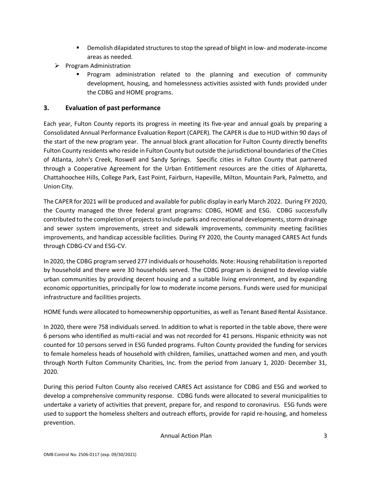- Demolish dilapidated structures to stop the spread of blight in low- and moderate-income areas as needed.
- $\triangleright$  Program Administration
	- Program administration related to the planning and execution of community development, housing, and homelessness activities assisted with funds provided under the CDBG and HOME programs.

#### **3. Evaluation of past performance**

Each year, Fulton County reports its progress in meeting its five-year and annual goals by preparing a Consolidated Annual Performance Evaluation Report (CAPER). The CAPER is due to HUD within 90 days of the start of the new program year. The annual block grant allocation for Fulton County directly benefits Fulton County residents who reside in Fulton County but outside the jurisdictional boundaries of the Cities of Atlanta, John's Creek, Roswell and Sandy Springs. Specific cities in Fulton County that partnered through a Cooperative Agreement for the Urban Entitlement resources are the cities of Alpharetta, Chattahoochee Hills, College Park, East Point, Fairburn, Hapeville, Milton, Mountain Park, Palmetto, and Union City.

The CAPER for 2021 will be produced and available for public display in early March 2022. During FY 2020, the County managed the three federal grant programs: CDBG, HOME and ESG. CDBG successfully contributed to the completion of projects to include parks and recreational developments, storm drainage and sewer system improvements, street and sidewalk improvements, community meeting facilities improvements, and handicap accessible facilities. During FY 2020, the County managed CARES Act funds through CDBG-CV and ESG-CV.

In 2020, the CDBG program served 277 individuals or households. Note: Housing rehabilitation is reported by household and there were 30 households served. The CDBG program is designed to develop viable urban communities by providing decent housing and a suitable living environment, and by expanding economic opportunities, principally for low to moderate income persons. Funds were used for municipal infrastructure and facilities projects.

HOME funds were allocated to homeownership opportunities, as well as Tenant Based Rental Assistance.

In 2020, there were 758 individuals served. In addition to what is reported in the table above, there were 6 persons who identified as multi-racial and was not recorded for 41 persons. Hispanic ethnicity was not counted for 10 persons served in ESG funded programs. Fulton County provided the funding for services to female homeless heads of household with children, families, unattached women and men, and youth through North Fulton Community Charities, Inc. from the period from January 1, 2020- December 31, 2020.

During this period Fulton County also received CARES Act assistance for CDBG and ESG and worked to develop a comprehensive community response. CDBG funds were allocated to several municipalities to undertake a variety of activities that prevent, prepare for, and respond to coronavirus. ESG funds were used to support the homeless shelters and outreach efforts, provide for rapid re-housing, and homeless prevention.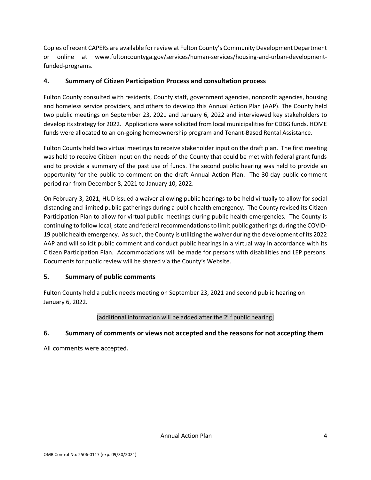Copies of recent CAPERs are available for review at Fulton County's Community Development Department or online at www.fultoncountyga.gov/services/human-services/housing-and-urban-developmentfunded-programs.

### **4. Summary of Citizen Participation Process and consultation process**

Fulton County consulted with residents, County staff, government agencies, nonprofit agencies, housing and homeless service providers, and others to develop this Annual Action Plan (AAP). The County held two public meetings on September 23, 2021 and January 6, 2022 and interviewed key stakeholders to develop its strategy for 2022. Applications were solicited from local municipalities for CDBG funds. HOME funds were allocated to an on-going homeownership program and Tenant-Based Rental Assistance.

Fulton County held two virtual meetings to receive stakeholder input on the draft plan. The first meeting was held to receive Citizen input on the needs of the County that could be met with federal grant funds and to provide a summary of the past use of funds. The second public hearing was held to provide an opportunity for the public to comment on the draft Annual Action Plan. The 30-day public comment period ran from December 8, 2021 to January 10, 2022.

On February 3, 2021, HUD issued a waiver allowing public hearings to be held virtually to allow for social distancing and limited public gatherings during a public health emergency. The County revised its Citizen Participation Plan to allow for virtual public meetings during public health emergencies. The County is continuing to follow local, state and federal recommendations to limit public gatherings during the COVID-19 public health emergency. As such, the County is utilizing the waiver during the development of its 2022 AAP and will solicit public comment and conduct public hearings in a virtual way in accordance with its Citizen Participation Plan. Accommodations will be made for persons with disabilities and LEP persons. Documents for public review will be shared via the County's Website.

## **5. Summary of public comments**

Fulton County held a public needs meeting on September 23, 2021 and second public hearing on January 6, 2022.

### [additional information will be added after the  $2<sup>nd</sup>$  public hearing]

### **6. Summary of comments or views not accepted and the reasons for not accepting them**

All comments were accepted.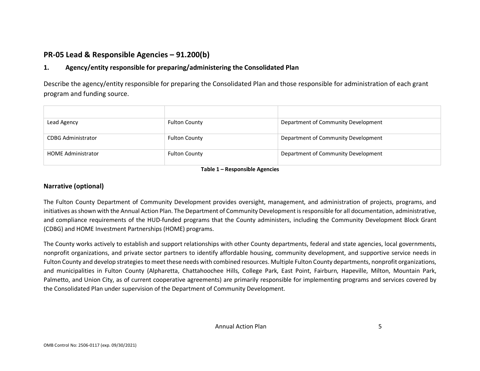## **PR-05 Lead & Responsible Agencies – 91.200(b)**

### **1. Agency/entity responsible for preparing/administering the Consolidated Plan**

Describe the agency/entity responsible for preparing the Consolidated Plan and those responsible for administration of each grant program and funding source.

| Lead Agency               | <b>Fulton County</b> | Department of Community Development |
|---------------------------|----------------------|-------------------------------------|
| <b>CDBG Administrator</b> | <b>Fulton County</b> | Department of Community Development |
| <b>HOME Administrator</b> | <b>Fulton County</b> | Department of Community Development |

**Table 1 – Responsible Agencies**

#### <span id="page-6-0"></span>**Narrative (optional)**

The Fulton County Department of Community Development provides oversight, management, and administration of projects, programs, and initiatives as shown with the Annual Action Plan. The Department of Community Development is responsible for all documentation, administrative, and compliance requirements of the HUD-funded programs that the County administers, including the Community Development Block Grant (CDBG) and HOME Investment Partnerships (HOME) programs.

The County works actively to establish and support relationships with other County departments, federal and state agencies, local governments, nonprofit organizations, and private sector partners to identify affordable housing, community development, and supportive service needs in Fulton County and develop strategies to meet these needs with combined resources. Multiple Fulton County departments, nonprofit organizations, and municipalities in Fulton County (Alpharetta, Chattahoochee Hills, College Park, East Point, Fairburn, Hapeville, Milton, Mountain Park, Palmetto, and Union City, as of current cooperative agreements) are primarily responsible for implementing programs and services covered by the Consolidated Plan under supervision of the Department of Community Development.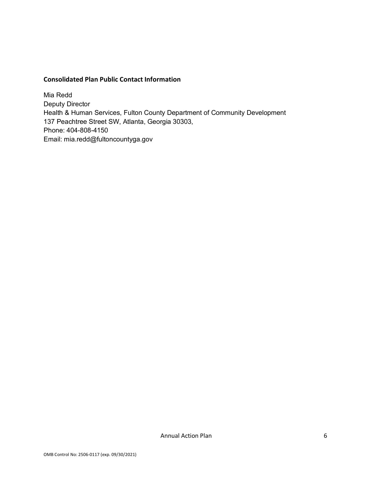#### **Consolidated Plan Public Contact Information**

Mia Redd Deputy Director Health & Human Services, Fulton County Department of Community Development 137 Peachtree Street SW, Atlanta, Georgia 30303, Phone: 404-808-4150 Email: mia.redd@fultoncountyga.gov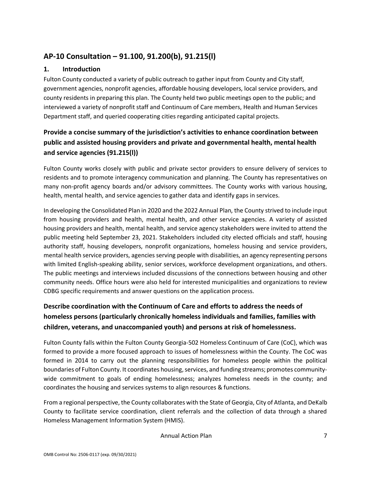## <span id="page-8-0"></span>**AP-10 Consultation – 91.100, 91.200(b), 91.215(l)**

### **1. Introduction**

Fulton County conducted a variety of public outreach to gather input from County and City staff, government agencies, nonprofit agencies, affordable housing developers, local service providers, and county residents in preparing this plan. The County held two public meetings open to the public; and interviewed a variety of nonprofit staff and Continuum of Care members, Health and Human Services Department staff, and queried cooperating cities regarding anticipated capital projects.

## **Provide a concise summary of the jurisdiction's activities to enhance coordination between public and assisted housing providers and private and governmental health, mental health and service agencies (91.215(l))**

Fulton County works closely with public and private sector providers to ensure delivery of services to residents and to promote interagency communication and planning. The County has representatives on many non-profit agency boards and/or advisory committees. The County works with various housing, health, mental health, and service agencies to gather data and identify gaps in services.

In developing the Consolidated Plan in 2020 and the 2022 Annual Plan, the County strived to include input from housing providers and health, mental health, and other service agencies. A variety of assisted housing providers and health, mental health, and service agency stakeholders were invited to attend the public meeting held September 23, 2021. Stakeholders included city elected officials and staff, housing authority staff, housing developers, nonprofit organizations, homeless housing and service providers, mental health service providers, agencies serving people with disabilities, an agency representing persons with limited English-speaking ability, senior services, workforce development organizations, and others. The public meetings and interviews included discussions of the connections between housing and other community needs. Office hours were also held for interested municipalities and organizations to review CDBG specific requirements and answer questions on the application process.

## **Describe coordination with the Continuum of Care and efforts to address the needs of homeless persons (particularly chronically homeless individuals and families, families with children, veterans, and unaccompanied youth) and persons at risk of homelessness.**

Fulton County falls within the Fulton County Georgia-502 Homeless Continuum of Care (CoC), which was formed to provide a more focused approach to issues of homelessness within the County. The CoC was formed in 2014 to carry out the planning responsibilities for homeless people within the political boundaries of Fulton County. It coordinates housing, services, and funding streams; promotes communitywide commitment to goals of ending homelessness; analyzes homeless needs in the county; and coordinates the housing and services systems to align resources & functions.

From a regional perspective, the County collaborates with the State of Georgia, City of Atlanta, and DeKalb County to facilitate service coordination, client referrals and the collection of data through a shared Homeless Management Information System (HMIS).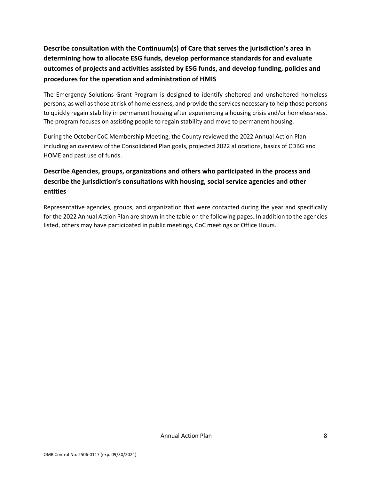**Describe consultation with the Continuum(s) of Care that serves the jurisdiction's area in determining how to allocate ESG funds, develop performance standards for and evaluate outcomes of projects and activities assisted by ESG funds, and develop funding, policies and procedures for the operation and administration of HMIS**

The Emergency Solutions Grant Program is designed to identify sheltered and unsheltered homeless persons, as well as those at risk of homelessness, and provide the services necessary to help those persons to quickly regain stability in permanent housing after experiencing a housing crisis and/or homelessness. The program focuses on assisting people to regain stability and move to permanent housing.

During the October CoC Membership Meeting, the County reviewed the 2022 Annual Action Plan including an overview of the Consolidated Plan goals, projected 2022 allocations, basics of CDBG and HOME and past use of funds.

## **Describe Agencies, groups, organizations and others who participated in the process and describe the jurisdiction's consultations with housing, social service agencies and other entities**

Representative agencies, groups, and organization that were contacted during the year and specifically for the 2022 Annual Action Plan are shown in the table on the following pages. In addition to the agencies listed, others may have participated in public meetings, CoC meetings or Office Hours.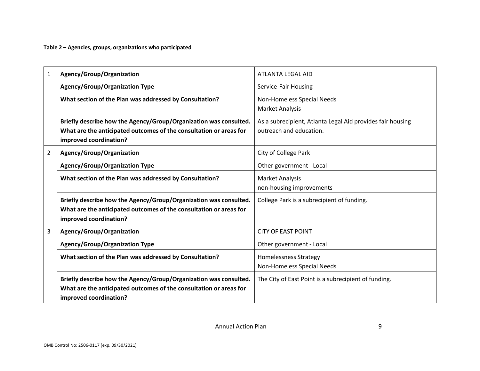**Table 2 – Agencies, groups, organizations who participated**

| $\mathbf{1}$   | Agency/Group/Organization                                                                                                                                         | ATLANTA LEGAL AID                                                                     |  |  |
|----------------|-------------------------------------------------------------------------------------------------------------------------------------------------------------------|---------------------------------------------------------------------------------------|--|--|
|                | <b>Agency/Group/Organization Type</b>                                                                                                                             | Service-Fair Housing                                                                  |  |  |
|                | What section of the Plan was addressed by Consultation?                                                                                                           | Non-Homeless Special Needs<br><b>Market Analysis</b>                                  |  |  |
|                | Briefly describe how the Agency/Group/Organization was consulted.<br>What are the anticipated outcomes of the consultation or areas for<br>improved coordination? | As a subrecipient, Atlanta Legal Aid provides fair housing<br>outreach and education. |  |  |
| $\overline{2}$ | Agency/Group/Organization                                                                                                                                         | City of College Park                                                                  |  |  |
|                | <b>Agency/Group/Organization Type</b>                                                                                                                             | Other government - Local                                                              |  |  |
|                | What section of the Plan was addressed by Consultation?                                                                                                           | <b>Market Analysis</b><br>non-housing improvements                                    |  |  |
|                | Briefly describe how the Agency/Group/Organization was consulted.<br>What are the anticipated outcomes of the consultation or areas for<br>improved coordination? | College Park is a subrecipient of funding.                                            |  |  |
| 3              | Agency/Group/Organization                                                                                                                                         | <b>CITY OF EAST POINT</b>                                                             |  |  |
|                | <b>Agency/Group/Organization Type</b>                                                                                                                             | Other government - Local                                                              |  |  |
|                | What section of the Plan was addressed by Consultation?                                                                                                           | <b>Homelessness Strategy</b><br>Non-Homeless Special Needs                            |  |  |
|                | Briefly describe how the Agency/Group/Organization was consulted.<br>What are the anticipated outcomes of the consultation or areas for<br>improved coordination? | The City of East Point is a subrecipient of funding.                                  |  |  |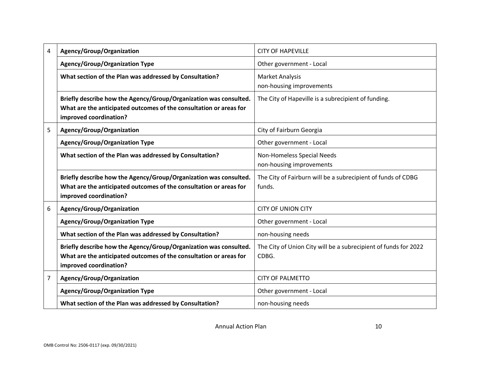| 4 | Agency/Group/Organization                                                                                                                                         | <b>CITY OF HAPEVILLE</b>                                                 |  |  |
|---|-------------------------------------------------------------------------------------------------------------------------------------------------------------------|--------------------------------------------------------------------------|--|--|
|   | <b>Agency/Group/Organization Type</b>                                                                                                                             | Other government - Local                                                 |  |  |
|   | What section of the Plan was addressed by Consultation?                                                                                                           | <b>Market Analysis</b><br>non-housing improvements                       |  |  |
|   | Briefly describe how the Agency/Group/Organization was consulted.<br>What are the anticipated outcomes of the consultation or areas for<br>improved coordination? | The City of Hapeville is a subrecipient of funding.                      |  |  |
| 5 | Agency/Group/Organization                                                                                                                                         | City of Fairburn Georgia                                                 |  |  |
|   | <b>Agency/Group/Organization Type</b>                                                                                                                             | Other government - Local                                                 |  |  |
|   | What section of the Plan was addressed by Consultation?                                                                                                           | Non-Homeless Special Needs<br>non-housing improvements                   |  |  |
|   | Briefly describe how the Agency/Group/Organization was consulted.<br>What are the anticipated outcomes of the consultation or areas for<br>improved coordination? | The City of Fairburn will be a subrecipient of funds of CDBG<br>funds.   |  |  |
| 6 | Agency/Group/Organization                                                                                                                                         | <b>CITY OF UNION CITY</b>                                                |  |  |
|   | <b>Agency/Group/Organization Type</b>                                                                                                                             | Other government - Local                                                 |  |  |
|   | What section of the Plan was addressed by Consultation?                                                                                                           | non-housing needs                                                        |  |  |
|   | Briefly describe how the Agency/Group/Organization was consulted.<br>What are the anticipated outcomes of the consultation or areas for<br>improved coordination? | The City of Union City will be a subrecipient of funds for 2022<br>CDBG. |  |  |
| 7 | Agency/Group/Organization                                                                                                                                         | <b>CITY OF PALMETTO</b>                                                  |  |  |
|   | <b>Agency/Group/Organization Type</b>                                                                                                                             | Other government - Local                                                 |  |  |
|   | What section of the Plan was addressed by Consultation?                                                                                                           | non-housing needs                                                        |  |  |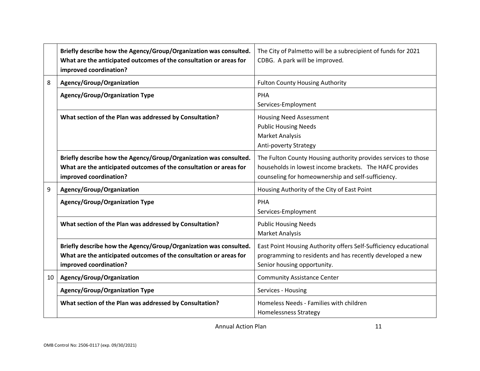|        | Briefly describe how the Agency/Group/Organization was consulted.<br>What are the anticipated outcomes of the consultation or areas for<br>improved coordination? | The City of Palmetto will be a subrecipient of funds for 2021<br>CDBG. A park will be improved.                                                                                 |
|--------|-------------------------------------------------------------------------------------------------------------------------------------------------------------------|---------------------------------------------------------------------------------------------------------------------------------------------------------------------------------|
| 8      | Agency/Group/Organization                                                                                                                                         | <b>Fulton County Housing Authority</b>                                                                                                                                          |
|        | <b>Agency/Group/Organization Type</b>                                                                                                                             | PHA<br>Services-Employment                                                                                                                                                      |
|        | What section of the Plan was addressed by Consultation?                                                                                                           | <b>Housing Need Assessment</b><br><b>Public Housing Needs</b><br><b>Market Analysis</b><br>Anti-poverty Strategy                                                                |
|        | Briefly describe how the Agency/Group/Organization was consulted.<br>What are the anticipated outcomes of the consultation or areas for<br>improved coordination? | The Fulton County Housing authority provides services to those<br>households in lowest income brackets. The HAFC provides<br>counseling for homeownership and self-sufficiency. |
| 9      | Agency/Group/Organization                                                                                                                                         | Housing Authority of the City of East Point                                                                                                                                     |
|        | <b>Agency/Group/Organization Type</b>                                                                                                                             | PHA<br>Services-Employment                                                                                                                                                      |
|        | What section of the Plan was addressed by Consultation?                                                                                                           | <b>Public Housing Needs</b><br><b>Market Analysis</b>                                                                                                                           |
|        | Briefly describe how the Agency/Group/Organization was consulted.<br>What are the anticipated outcomes of the consultation or areas for<br>improved coordination? | East Point Housing Authority offers Self-Sufficiency educational<br>programming to residents and has recently developed a new<br>Senior housing opportunity.                    |
| $10-1$ | Agency/Group/Organization                                                                                                                                         | <b>Community Assistance Center</b>                                                                                                                                              |
|        | <b>Agency/Group/Organization Type</b>                                                                                                                             | Services - Housing                                                                                                                                                              |
|        | What section of the Plan was addressed by Consultation?                                                                                                           | Homeless Needs - Families with children<br><b>Homelessness Strategy</b>                                                                                                         |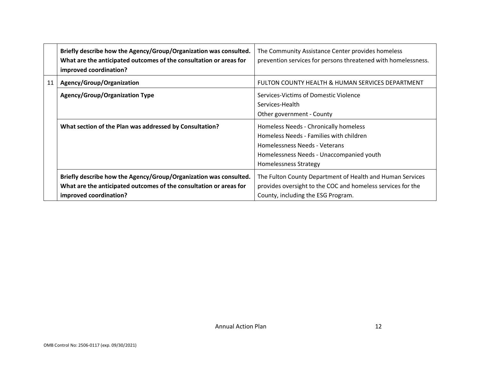|    | Briefly describe how the Agency/Group/Organization was consulted.<br>What are the anticipated outcomes of the consultation or areas for<br>improved coordination? | The Community Assistance Center provides homeless<br>prevention services for persons threatened with homelessness.                                                                            |
|----|-------------------------------------------------------------------------------------------------------------------------------------------------------------------|-----------------------------------------------------------------------------------------------------------------------------------------------------------------------------------------------|
| 11 | Agency/Group/Organization                                                                                                                                         | FULTON COUNTY HEALTH & HUMAN SERVICES DEPARTMENT                                                                                                                                              |
|    | <b>Agency/Group/Organization Type</b>                                                                                                                             | Services-Victims of Domestic Violence<br>Services-Health<br>Other government - County                                                                                                         |
|    | What section of the Plan was addressed by Consultation?                                                                                                           | Homeless Needs - Chronically homeless<br>Homeless Needs - Families with children<br>Homelessness Needs - Veterans<br>Homelessness Needs - Unaccompanied youth<br><b>Homelessness Strategy</b> |
|    | Briefly describe how the Agency/Group/Organization was consulted.<br>What are the anticipated outcomes of the consultation or areas for<br>improved coordination? | The Fulton County Department of Health and Human Services<br>provides oversight to the COC and homeless services for the<br>County, including the ESG Program.                                |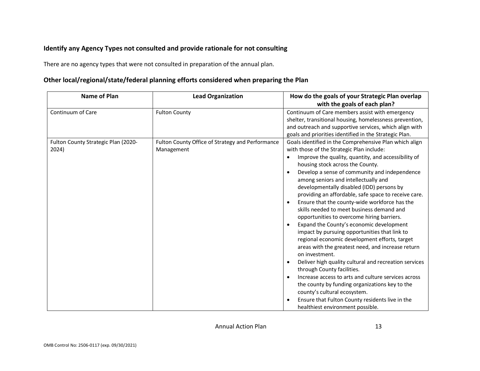### **Identify any Agency Types not consulted and provide rationale for not consulting**

There are no agency types that were not consulted in preparation of the annual plan.

### **Other local/regional/state/federal planning efforts considered when preparing the Plan**

| <b>Name of Plan</b>                          | <b>Lead Organization</b>                                       | How do the goals of your Strategic Plan overlap<br>with the goals of each plan?                                                                                                                                                                                                                                                                                                                                                                                                                                                                                                                                                                                                                                                                                                                                                                                                                                                                                                                                                                                                                                                                            |
|----------------------------------------------|----------------------------------------------------------------|------------------------------------------------------------------------------------------------------------------------------------------------------------------------------------------------------------------------------------------------------------------------------------------------------------------------------------------------------------------------------------------------------------------------------------------------------------------------------------------------------------------------------------------------------------------------------------------------------------------------------------------------------------------------------------------------------------------------------------------------------------------------------------------------------------------------------------------------------------------------------------------------------------------------------------------------------------------------------------------------------------------------------------------------------------------------------------------------------------------------------------------------------------|
| Continuum of Care                            | <b>Fulton County</b>                                           | Continuum of Care members assist with emergency<br>shelter, transitional housing, homelessness prevention,<br>and outreach and supportive services, which align with<br>goals and priorities identified in the Strategic Plan.                                                                                                                                                                                                                                                                                                                                                                                                                                                                                                                                                                                                                                                                                                                                                                                                                                                                                                                             |
| Fulton County Strategic Plan (2020-<br>2024) | Fulton County Office of Strategy and Performance<br>Management | Goals identified in the Comprehensive Plan which align<br>with those of the Strategic Plan include:<br>Improve the quality, quantity, and accessibility of<br>$\bullet$<br>housing stock across the County.<br>Develop a sense of community and independence<br>$\bullet$<br>among seniors and intellectually and<br>developmentally disabled (IDD) persons by<br>providing an affordable, safe space to receive care.<br>Ensure that the county-wide workforce has the<br>$\bullet$<br>skills needed to meet business demand and<br>opportunities to overcome hiring barriers.<br>Expand the County's economic development<br>$\bullet$<br>impact by pursuing opportunities that link to<br>regional economic development efforts, target<br>areas with the greatest need, and increase return<br>on investment.<br>Deliver high quality cultural and recreation services<br>٠<br>through County facilities.<br>Increase access to arts and culture services across<br>$\bullet$<br>the county by funding organizations key to the<br>county's cultural ecosystem.<br>Ensure that Fulton County residents live in the<br>healthiest environment possible. |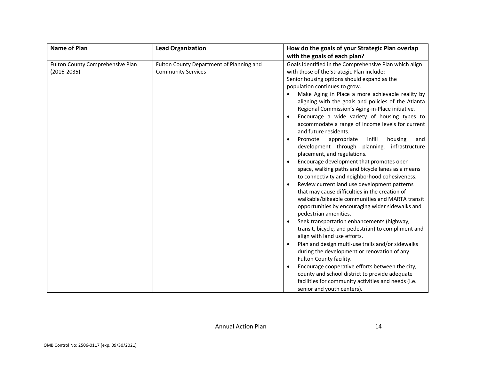| <b>Name of Plan</b>                                 | <b>Lead Organization</b>                                              | How do the goals of your Strategic Plan overlap                                                                                                                                                                                                                                                                                                                                                                                                                                                                                                                                                                                                                                                                                                                                                                                                                                                                                                                                                                                                                                                                                                                                                                                                                                                                                                                                                                                                                                                                                                       |  |  |  |
|-----------------------------------------------------|-----------------------------------------------------------------------|-------------------------------------------------------------------------------------------------------------------------------------------------------------------------------------------------------------------------------------------------------------------------------------------------------------------------------------------------------------------------------------------------------------------------------------------------------------------------------------------------------------------------------------------------------------------------------------------------------------------------------------------------------------------------------------------------------------------------------------------------------------------------------------------------------------------------------------------------------------------------------------------------------------------------------------------------------------------------------------------------------------------------------------------------------------------------------------------------------------------------------------------------------------------------------------------------------------------------------------------------------------------------------------------------------------------------------------------------------------------------------------------------------------------------------------------------------------------------------------------------------------------------------------------------------|--|--|--|
|                                                     |                                                                       | with the goals of each plan?                                                                                                                                                                                                                                                                                                                                                                                                                                                                                                                                                                                                                                                                                                                                                                                                                                                                                                                                                                                                                                                                                                                                                                                                                                                                                                                                                                                                                                                                                                                          |  |  |  |
| Fulton County Comprehensive Plan<br>$(2016 - 2035)$ | Fulton County Department of Planning and<br><b>Community Services</b> | Goals identified in the Comprehensive Plan which align<br>with those of the Strategic Plan include:<br>Senior housing options should expand as the<br>population continues to grow.<br>Make Aging in Place a more achievable reality by<br>aligning with the goals and policies of the Atlanta<br>Regional Commission's Aging-in-Place initiative.<br>Encourage a wide variety of housing types to<br>$\bullet$<br>accommodate a range of income levels for current<br>and future residents.<br>infill<br>Promote<br>housing<br>appropriate<br>and<br>$\bullet$<br>development through planning, infrastructure<br>placement, and regulations.<br>Encourage development that promotes open<br>space, walking paths and bicycle lanes as a means<br>to connectivity and neighborhood cohesiveness.<br>Review current land use development patterns<br>$\bullet$<br>that may cause difficulties in the creation of<br>walkable/bikeable communities and MARTA transit<br>opportunities by encouraging wider sidewalks and<br>pedestrian amenities.<br>Seek transportation enhancements (highway,<br>$\bullet$<br>transit, bicycle, and pedestrian) to compliment and<br>align with land use efforts.<br>Plan and design multi-use trails and/or sidewalks<br>$\bullet$<br>during the development or renovation of any<br>Fulton County facility.<br>Encourage cooperative efforts between the city,<br>$\bullet$<br>county and school district to provide adequate<br>facilities for community activities and needs (i.e.<br>senior and youth centers). |  |  |  |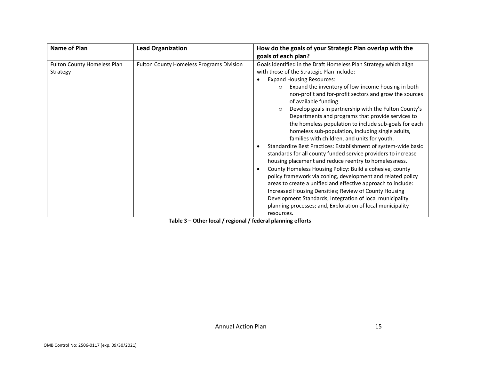| <b>Lead Organization</b>                 | How do the goals of your Strategic Plan overlap with the                                                                                                                                                                                                                                                                                                                                                                                                                                                                                                                                                                                                                                                                                                                                                                                                                                                                                                                                                                                                                                                                                                                                         |
|------------------------------------------|--------------------------------------------------------------------------------------------------------------------------------------------------------------------------------------------------------------------------------------------------------------------------------------------------------------------------------------------------------------------------------------------------------------------------------------------------------------------------------------------------------------------------------------------------------------------------------------------------------------------------------------------------------------------------------------------------------------------------------------------------------------------------------------------------------------------------------------------------------------------------------------------------------------------------------------------------------------------------------------------------------------------------------------------------------------------------------------------------------------------------------------------------------------------------------------------------|
|                                          | goals of each plan?                                                                                                                                                                                                                                                                                                                                                                                                                                                                                                                                                                                                                                                                                                                                                                                                                                                                                                                                                                                                                                                                                                                                                                              |
| Fulton County Homeless Programs Division | Goals identified in the Draft Homeless Plan Strategy which align<br>with those of the Strategic Plan include:<br><b>Expand Housing Resources:</b><br>Expand the inventory of low-income housing in both<br>$\circ$<br>non-profit and for-profit sectors and grow the sources<br>of available funding.<br>Develop goals in partnership with the Fulton County's<br>$\circ$<br>Departments and programs that provide services to<br>the homeless population to include sub-goals for each<br>homeless sub-population, including single adults,<br>families with children, and units for youth.<br>Standardize Best Practices: Establishment of system-wide basic<br>$\bullet$<br>standards for all county funded service providers to increase<br>housing placement and reduce reentry to homelessness.<br>County Homeless Housing Policy: Build a cohesive, county<br>$\bullet$<br>policy framework via zoning, development and related policy<br>areas to create a unified and effective approach to include:<br>Increased Housing Densities; Review of County Housing<br>Development Standards; Integration of local municipality<br>planning processes; and, Exploration of local municipality |
|                                          |                                                                                                                                                                                                                                                                                                                                                                                                                                                                                                                                                                                                                                                                                                                                                                                                                                                                                                                                                                                                                                                                                                                                                                                                  |

**Table 3 – Other local / regional / federal planning efforts**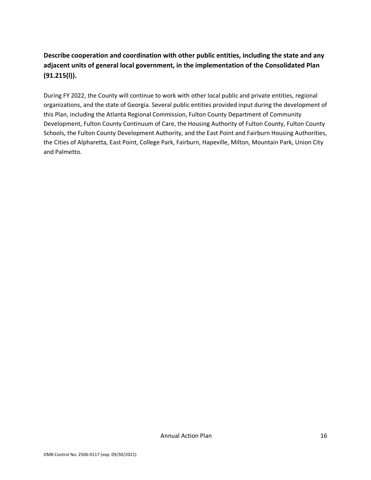## **Describe cooperation and coordination with other public entities, including the state and any adjacent units of general local government, in the implementation of the Consolidated Plan (91.215(l)).**

During FY 2022, the County will continue to work with other local public and private entities, regional organizations, and the state of Georgia. Several public entities provided input during the development of this Plan, including the Atlanta Regional Commission, Fulton County Department of Community Development, Fulton County Continuum of Care, the Housing Authority of Fulton County, Fulton County Schools, the Fulton County Development Authority, and the East Point and Fairburn Housing Authorities, the Cities of Alpharetta, East Point, College Park, Fairburn, Hapeville, Milton, Mountain Park, Union City and Palmetto.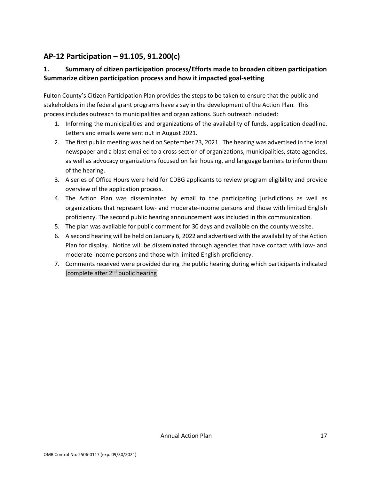## <span id="page-18-0"></span>**AP-12 Participation – 91.105, 91.200(c)**

## **1. Summary of citizen participation process/Efforts made to broaden citizen participation Summarize citizen participation process and how it impacted goal-setting**

Fulton County's Citizen Participation Plan provides the steps to be taken to ensure that the public and stakeholders in the federal grant programs have a say in the development of the Action Plan. This process includes outreach to municipalities and organizations. Such outreach included:

- 1. Informing the municipalities and organizations of the availability of funds, application deadline. Letters and emails were sent out in August 2021.
- 2. The first public meeting was held on September 23, 2021. The hearing was advertised in the local newspaper and a blast emailed to a cross section of organizations, municipalities, state agencies, as well as advocacy organizations focused on fair housing, and language barriers to inform them of the hearing.
- 3. A series of Office Hours were held for CDBG applicants to review program eligibility and provide overview of the application process.
- 4. The Action Plan was disseminated by email to the participating jurisdictions as well as organizations that represent low- and moderate-income persons and those with limited English proficiency. The second public hearing announcement was included in this communication.
- 5. The plan was available for public comment for 30 days and available on the county website.
- 6. A second hearing will be held on January 6, 2022 and advertised with the availability of the Action Plan for display. Notice will be disseminated through agencies that have contact with low- and moderate-income persons and those with limited English proficiency.
- 7. Comments received were provided during the public hearing during which participants indicated [complete after  $2^{nd}$  public hearing]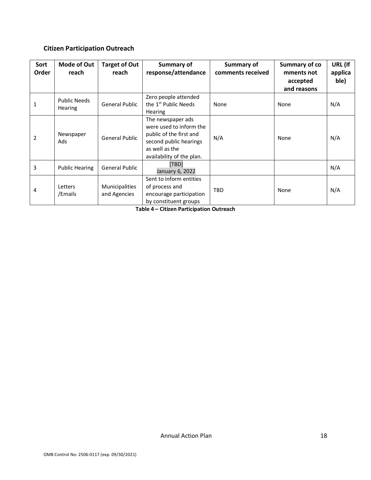## **Citizen Participation Outreach**

| Sort<br>Order  | <b>Mode of Out</b><br>reach           | <b>Target of Out</b><br>reach         | <b>Summary of</b><br>response/attendance                                                                                                         | <b>Summary of</b><br>comments received | Summary of co<br>mments not<br>accepted<br>and reasons | URL (If<br>applica<br>ble) |
|----------------|---------------------------------------|---------------------------------------|--------------------------------------------------------------------------------------------------------------------------------------------------|----------------------------------------|--------------------------------------------------------|----------------------------|
| 1              | <b>Public Needs</b><br><b>Hearing</b> | <b>General Public</b>                 | Zero people attended<br>the 1 <sup>st</sup> Public Needs<br><b>Hearing</b>                                                                       | None                                   | None                                                   | N/A                        |
| $\overline{2}$ | Newspaper<br>Ads                      | General Public                        | The newspaper ads<br>were used to inform the<br>public of the first and<br>second public hearings<br>as well as the<br>availability of the plan. | N/A                                    | None                                                   | N/A                        |
| 3              | <b>Public Hearing</b>                 | <b>General Public</b>                 | [TBD]<br>January 6, 2022                                                                                                                         |                                        |                                                        | N/A                        |
| 4              | Letters<br>/Emails                    | <b>Municipalities</b><br>and Agencies | Sent to inform entities<br>of process and<br>encourage participation<br>by constituent groups                                                    | TBD                                    | None                                                   | N/A                        |

**Table 4 – Citizen Participation Outreach**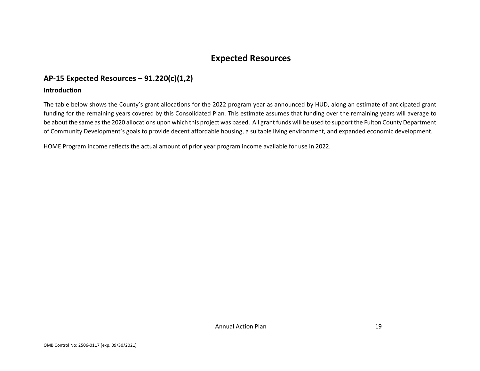## **Expected Resources**

## **AP-15 Expected Resources – 91.220(c)(1,2)**

#### **Introduction**

The table below shows the County's grant allocations for the 2022 program year as announced by HUD, along an estimate of anticipated grant funding for the remaining years covered by this Consolidated Plan. This estimate assumes that funding over the remaining years will average to be about the same as the 2020 allocations upon which this project was based. All grant funds will be used to support the Fulton County Department of Community Development's goals to provide decent affordable housing, a suitable living environment, and expanded economic development.

<span id="page-20-1"></span><span id="page-20-0"></span>HOME Program income reflects the actual amount of prior year program income available for use in 2022.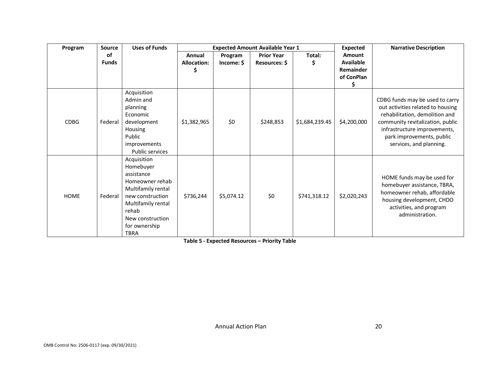| Program     | Source             | <b>Uses of Funds</b>                                                                                                                                                                   | <b>Expected Amount Available Year 1</b> |                       |                                    |                |                                                                   | <b>Expected</b>                                                                                                                                                                                                                    | <b>Narrative Description</b> |
|-------------|--------------------|----------------------------------------------------------------------------------------------------------------------------------------------------------------------------------------|-----------------------------------------|-----------------------|------------------------------------|----------------|-------------------------------------------------------------------|------------------------------------------------------------------------------------------------------------------------------------------------------------------------------------------------------------------------------------|------------------------------|
|             | of<br><b>Funds</b> |                                                                                                                                                                                        | Annual<br><b>Allocation:</b><br>S       | Program<br>Income: \$ | <b>Prior Year</b><br>Resources: \$ | Total:<br>Ş.   | Amount<br><b>Available</b><br><b>Remainder</b><br>of ConPlan<br>s |                                                                                                                                                                                                                                    |                              |
| <b>CDBG</b> | Federal            | Acquisition<br>Admin and<br>planning<br>Economic<br>development<br>Housing<br>Public<br>improvements<br><b>Public services</b>                                                         | \$1,382,965                             | \$0                   | \$248,853                          | \$1,684,239.45 | \$4,200,000                                                       | CDBG funds may be used to carry<br>out activities related to housing<br>rehabilitation, demolition and<br>community revitalization, public<br>infrastructure improvements,<br>park improvements, public<br>services, and planning. |                              |
| <b>HOME</b> | Federal            | Acquisition<br>Homebuyer<br>assistance<br>Homeowner rehab<br>Multifamily rental<br>new construction<br>Multifamily rental<br>rehab<br>New construction<br>for ownership<br><b>TBRA</b> | \$736,244                               | \$5,074.12            | \$0                                | \$741,318.12   | \$2,020,243                                                       | HOME funds may be used for<br>homebuyer assistance, TBRA,<br>homeowner rehab, affordable<br>housing development, CHDO<br>activities, and program<br>administration.                                                                |                              |

**Table 5 - Expected Resources – Priority Table**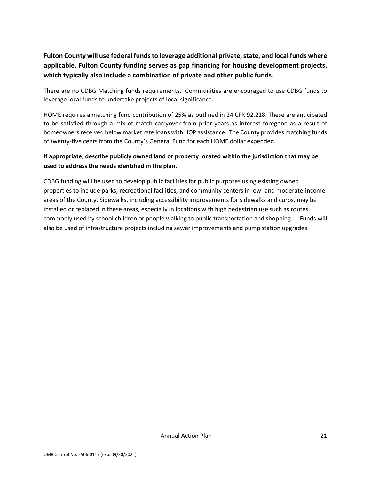## **Fulton County will use federal funds to leverage additional private, state, and local funds where applicable. Fulton County funding serves as gap financing for housing development projects, which typically also include a combination of private and other public funds**.

There are no CDBG Matching funds requirements. Communities are encouraged to use CDBG funds to leverage local funds to undertake projects of local significance.

HOME requires a matching fund contribution of 25% as outlined in 24 CFR 92.218. These are anticipated to be satisfied through a mix of match carryover from prior years as interest foregone as a result of homeowners received below market rate loans with HOP assistance. The County provides matching funds of twenty-five cents from the County's General Fund for each HOME dollar expended.

### **If appropriate, describe publicly owned land or property located within the jurisdiction that may be used to address the needs identified in the plan.**

CDBG funding will be used to develop public facilities for public purposes using existing owned properties to include parks, recreational facilities, and community centers in low- and moderate-income areas of the County. Sidewalks, including accessibility improvements for sidewalks and curbs, may be installed or replaced in these areas, especially in locations with high pedestrian use such as routes commonly used by school children or people walking to public transportation and shopping. Funds will also be used of infrastructure projects including sewer improvements and pump station upgrades.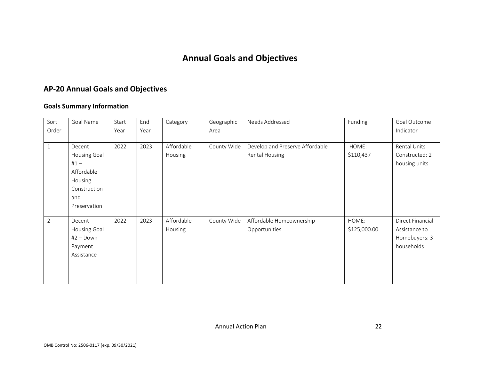## **Annual Goals and Objectives**

## **AP-20 Annual Goals and Objectives**

#### **Goals Summary Information**

<span id="page-23-0"></span>

| Sort<br>Order  | Goal Name                                                                                        | Start<br>Year | End<br>Year | Category              | Geographic<br>Area | Needs Addressed                                          | Funding               | Goal Outcome<br>Indicator                                        |
|----------------|--------------------------------------------------------------------------------------------------|---------------|-------------|-----------------------|--------------------|----------------------------------------------------------|-----------------------|------------------------------------------------------------------|
| $\mathbf{1}$   | Decent<br>Housing Goal<br>$#1 -$<br>Affordable<br>Housing<br>Construction<br>and<br>Preservation | 2022          | 2023        | Affordable<br>Housing | County Wide        | Develop and Preserve Affordable<br><b>Rental Housing</b> | HOME:<br>\$110,437    | Rental Units<br>Constructed: 2<br>housing units                  |
| $\overline{2}$ | Decent<br>Housing Goal<br>$#2 - Down$<br>Payment<br>Assistance                                   | 2022          | 2023        | Affordable<br>Housing | County Wide        | Affordable Homeownership<br>Opportunities                | HOME:<br>\$125,000.00 | Direct Financial<br>Assistance to<br>Homebuyers: 3<br>households |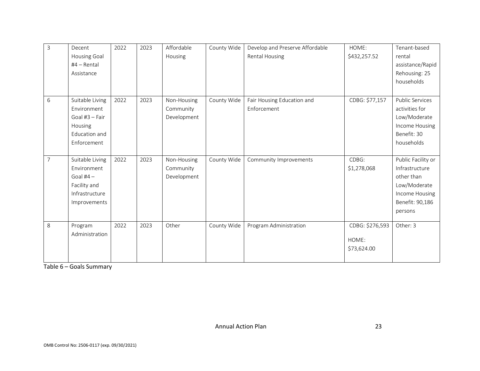| $\overline{3}$ | Decent<br>Housing Goal<br>#4 - Rental<br>Assistance                                                | 2022 | 2023 | Affordable<br>Housing                   | County Wide | Develop and Preserve Affordable<br><b>Rental Housing</b> | HOME:<br>\$432,257.52                   | Tenant-based<br>rental<br>assistance/Rapid<br>Rehousing: 25<br>households                                          |
|----------------|----------------------------------------------------------------------------------------------------|------|------|-----------------------------------------|-------------|----------------------------------------------------------|-----------------------------------------|--------------------------------------------------------------------------------------------------------------------|
| 6              | Suitable Living<br>Environment<br>Goal #3 - Fair<br>Housing<br><b>Education and</b><br>Enforcement | 2022 | 2023 | Non-Housing<br>Community<br>Development | County Wide | Fair Housing Education and<br>Enforcement                | CDBG: \$77,157                          | <b>Public Services</b><br>activities for<br>Low/Moderate<br>Income Housing<br>Benefit: 30<br>households            |
| $\overline{7}$ | Suitable Living<br>Environment<br>Goal $#4-$<br>Facility and<br>Infrastructure<br>Improvements     | 2022 | 2023 | Non-Housing<br>Community<br>Development | County Wide | Community Improvements                                   | CDBG:<br>\$1,278,068                    | Public Facility or<br>Infrastructure<br>other than<br>Low/Moderate<br>Income Housing<br>Benefit: 90,186<br>persons |
| 8              | Program<br>Administration                                                                          | 2022 | 2023 | Other                                   | County Wide | Program Administration                                   | CDBG: \$276,593<br>HOME:<br>\$73,624.00 | Other: 3                                                                                                           |

Table 6 – Goals Summary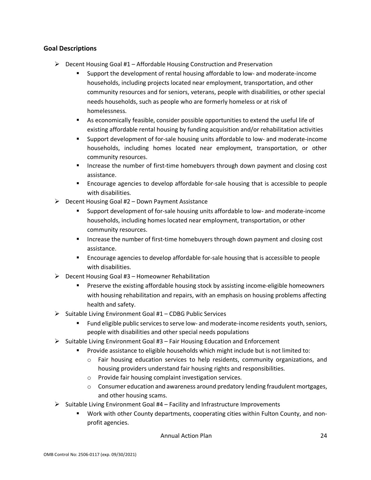#### **Goal Descriptions**

- $\triangleright$  Decent Housing Goal #1 Affordable Housing Construction and Preservation
	- Support the development of rental housing affordable to low- and moderate-income households, including projects located near employment, transportation, and other community resources and for seniors, veterans, people with disabilities, or other special needs households, such as people who are formerly homeless or at risk of homelessness.
	- As economically feasible, consider possible opportunities to extend the useful life of existing affordable rental housing by funding acquisition and/or rehabilitation activities
	- Support development of for-sale housing units affordable to low- and moderate-income households, including homes located near employment, transportation, or other community resources.
	- **Increase the number of first-time homebuyers through down payment and closing cost** assistance.
	- Encourage agencies to develop affordable for-sale housing that is accessible to people with disabilities.
- $\triangleright$  Decent Housing Goal #2 Down Payment Assistance
	- Support development of for-sale housing units affordable to low- and moderate-income households, including homes located near employment, transportation, or other community resources.
	- **Increase the number of first-time homebuyers through down payment and closing cost** assistance.
	- Encourage agencies to develop affordable for-sale housing that is accessible to people with disabilities.
- $\triangleright$  Decent Housing Goal #3 Homeowner Rehabilitation
	- Preserve the existing affordable housing stock by assisting income-eligible homeowners with housing rehabilitation and repairs, with an emphasis on housing problems affecting health and safety.
- $\triangleright$  Suitable Living Environment Goal #1 CDBG Public Services
	- Fund eligible public services to serve low- and moderate-income residents youth, seniors, people with disabilities and other special needs populations
- $\triangleright$  Suitable Living Environment Goal #3 Fair Housing Education and Enforcement
	- Provide assistance to eligible households which might include but is not limited to:
		- o Fair housing education services to help residents, community organizations, and housing providers understand fair housing rights and responsibilities.
		- o Provide fair housing complaint investigation services.
		- $\circ$  Consumer education and awareness around predatory lending fraudulent mortgages, and other housing scams.
- $\triangleright$  Suitable Living Environment Goal #4 Facility and Infrastructure Improvements
	- Work with other County departments, cooperating cities within Fulton County, and nonprofit agencies.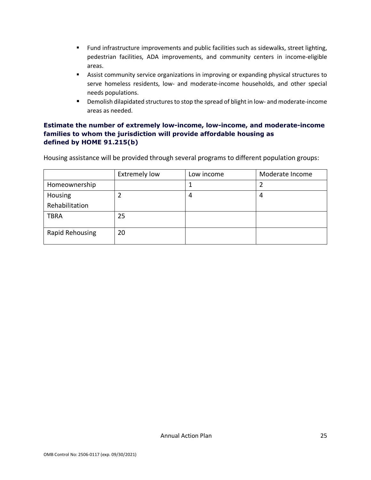- Fund infrastructure improvements and public facilities such as sidewalks, street lighting, pedestrian facilities, ADA improvements, and community centers in income-eligible areas.
- **Assist community service organizations in improving or expanding physical structures to** serve homeless residents, low- and moderate-income households, and other special needs populations.
- **•** Demolish dilapidated structures to stop the spread of blight in low- and moderate-income areas as needed.

### **Estimate the number of extremely low-income, low-income, and moderate-income families to whom the jurisdiction will provide affordable housing as defined by HOME 91.215(b)**

Housing assistance will be provided through several programs to different population groups:

|                 | <b>Extremely low</b> | Low income | Moderate Income |
|-----------------|----------------------|------------|-----------------|
| Homeownership   |                      |            |                 |
| Housing         |                      | 4          | 4               |
| Rehabilitation  |                      |            |                 |
| <b>TBRA</b>     | 25                   |            |                 |
| Rapid Rehousing | 20                   |            |                 |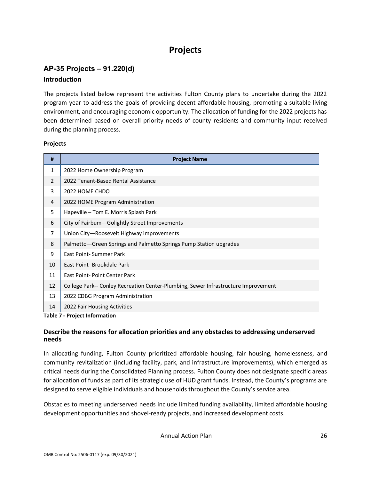## **Projects**

## <span id="page-27-0"></span>**AP-35 Projects – 91.220(d) Introduction**

The projects listed below represent the activities Fulton County plans to undertake during the 2022 program year to address the goals of providing decent affordable housing, promoting a suitable living environment, and encouraging economic opportunity. The allocation of funding for the 2022 projects has been determined based on overall priority needs of county residents and community input received during the planning process.

#### **Projects**

| #            | <b>Project Name</b>                                                                |  |  |
|--------------|------------------------------------------------------------------------------------|--|--|
| $\mathbf{1}$ | 2022 Home Ownership Program                                                        |  |  |
| 2            | 2022 Tenant-Based Rental Assistance                                                |  |  |
| 3            | 2022 HOME CHDO                                                                     |  |  |
| 4            | 2022 HOME Program Administration                                                   |  |  |
| 5            | Hapeville - Tom E. Morris Splash Park                                              |  |  |
| 6            | City of Fairbum-Golightly Street Improvements                                      |  |  |
| 7            | Union City-Roosevelt Highway improvements                                          |  |  |
| 8            | Palmetto–Green Springs and Palmetto Springs Pump Station upgrades                  |  |  |
| 9            | East Point-Summer Park                                                             |  |  |
| 10           | East Point-Brookdale Park                                                          |  |  |
| 11           | East Point-Point Center Park                                                       |  |  |
| 12           | College Park-- Conley Recreation Center-Plumbing, Sewer Infrastructure Improvement |  |  |
| 13           | 2022 CDBG Program Administration                                                   |  |  |
| 14           | 2022 Fair Housing Activities                                                       |  |  |
|              | <b>Table 7 - Project Information</b>                                               |  |  |

#### **Describe the reasons for allocation priorities and any obstacles to addressing underserved needs**

In allocating funding, Fulton County prioritized affordable housing, fair housing, homelessness, and community revitalization (including facility, park, and infrastructure improvements), which emerged as critical needs during the Consolidated Planning process. Fulton County does not designate specific areas for allocation of funds as part of its strategic use of HUD grant funds. Instead, the County's programs are designed to serve eligible individuals and households throughout the County's service area.

Obstacles to meeting underserved needs include limited funding availability, limited affordable housing development opportunities and shovel-ready projects, and increased development costs.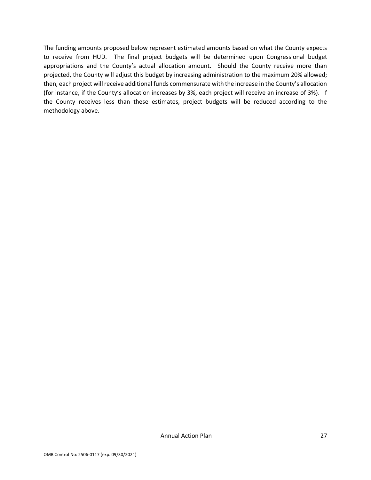The funding amounts proposed below represent estimated amounts based on what the County expects to receive from HUD. The final project budgets will be determined upon Congressional budget appropriations and the County's actual allocation amount. Should the County receive more than projected, the County will adjust this budget by increasing administration to the maximum 20% allowed; then, each project will receive additional funds commensurate with the increase in the County's allocation (for instance, if the County's allocation increases by 3%, each project will receive an increase of 3%). If the County receives less than these estimates, project budgets will be reduced according to the methodology above.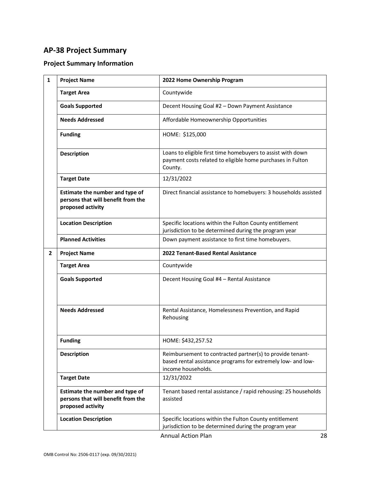## <span id="page-29-0"></span>**AP-38 Project Summary**

## **Project Summary Information**

| $\mathbf{1}$ | <b>Project Name</b>                                                                        | 2022 Home Ownership Program                                                                                                                     |
|--------------|--------------------------------------------------------------------------------------------|-------------------------------------------------------------------------------------------------------------------------------------------------|
|              | <b>Target Area</b>                                                                         | Countywide                                                                                                                                      |
|              | <b>Goals Supported</b>                                                                     | Decent Housing Goal #2 - Down Payment Assistance                                                                                                |
|              | <b>Needs Addressed</b>                                                                     | Affordable Homeownership Opportunities                                                                                                          |
|              | <b>Funding</b>                                                                             | HOME: \$125,000                                                                                                                                 |
|              | <b>Description</b>                                                                         | Loans to eligible first time homebuyers to assist with down<br>payment costs related to eligible home purchases in Fulton<br>County.            |
|              | <b>Target Date</b>                                                                         | 12/31/2022                                                                                                                                      |
|              | Estimate the number and type of<br>persons that will benefit from the<br>proposed activity | Direct financial assistance to homebuyers: 3 households assisted                                                                                |
|              | <b>Location Description</b>                                                                | Specific locations within the Fulton County entitlement<br>jurisdiction to be determined during the program year                                |
|              | <b>Planned Activities</b>                                                                  | Down payment assistance to first time homebuyers.                                                                                               |
| $\mathbf{2}$ | <b>Project Name</b>                                                                        | 2022 Tenant-Based Rental Assistance                                                                                                             |
|              | <b>Target Area</b>                                                                         | Countywide                                                                                                                                      |
|              | <b>Goals Supported</b>                                                                     | Decent Housing Goal #4 - Rental Assistance                                                                                                      |
|              | <b>Needs Addressed</b>                                                                     | Rental Assistance, Homelessness Prevention, and Rapid<br>Rehousing                                                                              |
|              | <b>Funding</b>                                                                             | HOME: \$432,257.52                                                                                                                              |
|              | <b>Description</b>                                                                         | Reimbursement to contracted partner(s) to provide tenant-<br>based rental assistance programs for extremely low- and low-<br>income households. |
|              | <b>Target Date</b>                                                                         | 12/31/2022                                                                                                                                      |
|              | Estimate the number and type of<br>persons that will benefit from the<br>proposed activity | Tenant based rental assistance / rapid rehousing: 25 households<br>assisted                                                                     |
|              | <b>Location Description</b>                                                                | Specific locations within the Fulton County entitlement<br>jurisdiction to be determined during the program year                                |
|              |                                                                                            | <b>Annual Action Plan</b><br>28                                                                                                                 |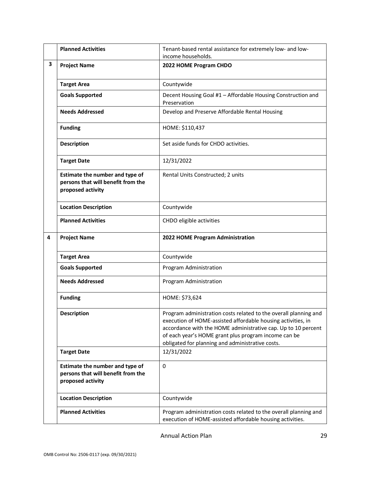|   | <b>Planned Activities</b>                                                                  | Tenant-based rental assistance for extremely low- and low-<br>income households.                                                                                                                                                                          |
|---|--------------------------------------------------------------------------------------------|-----------------------------------------------------------------------------------------------------------------------------------------------------------------------------------------------------------------------------------------------------------|
| 3 | <b>Project Name</b>                                                                        | 2022 HOME Program CHDO                                                                                                                                                                                                                                    |
|   | <b>Target Area</b>                                                                         | Countywide                                                                                                                                                                                                                                                |
|   | <b>Goals Supported</b>                                                                     | Decent Housing Goal #1 - Affordable Housing Construction and<br>Preservation                                                                                                                                                                              |
|   | <b>Needs Addressed</b>                                                                     | Develop and Preserve Affordable Rental Housing                                                                                                                                                                                                            |
|   | <b>Funding</b>                                                                             | HOME: \$110,437                                                                                                                                                                                                                                           |
|   | <b>Description</b>                                                                         | Set aside funds for CHDO activities.                                                                                                                                                                                                                      |
|   | <b>Target Date</b>                                                                         | 12/31/2022                                                                                                                                                                                                                                                |
|   | Estimate the number and type of<br>persons that will benefit from the<br>proposed activity | Rental Units Constructed; 2 units                                                                                                                                                                                                                         |
|   | <b>Location Description</b>                                                                | Countywide                                                                                                                                                                                                                                                |
|   | <b>Planned Activities</b>                                                                  | CHDO eligible activities                                                                                                                                                                                                                                  |
|   |                                                                                            |                                                                                                                                                                                                                                                           |
| 4 | <b>Project Name</b>                                                                        | 2022 HOME Program Administration                                                                                                                                                                                                                          |
|   | <b>Target Area</b>                                                                         | Countywide                                                                                                                                                                                                                                                |
|   | <b>Goals Supported</b>                                                                     | Program Administration                                                                                                                                                                                                                                    |
|   | <b>Needs Addressed</b>                                                                     | Program Administration                                                                                                                                                                                                                                    |
|   | <b>Funding</b>                                                                             | HOME: \$73,624                                                                                                                                                                                                                                            |
|   | <b>Description</b>                                                                         | Program administration costs related to the overall planning and<br>execution of HOME-assisted affordable housing activities, in<br>accordance with the HOME administrative cap. Up to 10 percent<br>of each year's HOME grant plus program income can be |
|   | <b>Target Date</b>                                                                         | obligated for planning and administrative costs.<br>12/31/2022                                                                                                                                                                                            |
|   | Estimate the number and type of<br>persons that will benefit from the<br>proposed activity | $\mathbf 0$                                                                                                                                                                                                                                               |
|   | <b>Location Description</b>                                                                | Countywide                                                                                                                                                                                                                                                |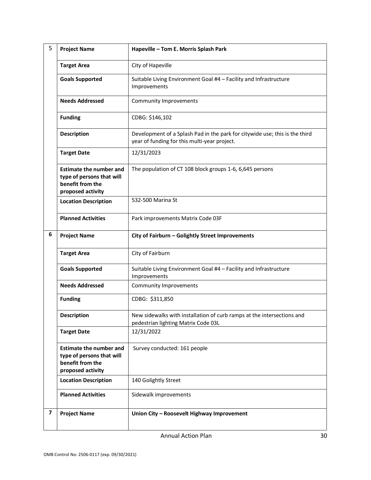| 5 | <b>Project Name</b>                                                                                  | Hapeville - Tom E. Morris Splash Park                                                                                       |
|---|------------------------------------------------------------------------------------------------------|-----------------------------------------------------------------------------------------------------------------------------|
|   | <b>Target Area</b>                                                                                   | City of Hapeville                                                                                                           |
|   | <b>Goals Supported</b>                                                                               | Suitable Living Environment Goal #4 - Facility and Infrastructure<br>Improvements                                           |
|   | <b>Needs Addressed</b>                                                                               | Community Improvements                                                                                                      |
|   | <b>Funding</b>                                                                                       | CDBG: \$146,102                                                                                                             |
|   | <b>Description</b>                                                                                   | Development of a Splash Pad in the park for citywide use; this is the third<br>year of funding for this multi-year project. |
|   | <b>Target Date</b>                                                                                   | 12/31/2023                                                                                                                  |
|   | <b>Estimate the number and</b><br>type of persons that will<br>benefit from the<br>proposed activity | The population of CT 108 block groups 1-6, 6,645 persons                                                                    |
|   | <b>Location Description</b>                                                                          | 532-500 Marina St                                                                                                           |
|   | <b>Planned Activities</b>                                                                            | Park improvements Matrix Code 03F                                                                                           |
| 6 | <b>Project Name</b>                                                                                  | City of Fairburn - Golightly Street Improvements                                                                            |
|   | <b>Target Area</b>                                                                                   | City of Fairburn                                                                                                            |
|   | <b>Goals Supported</b>                                                                               | Suitable Living Environment Goal #4 - Facility and Infrastructure<br>Improvements                                           |
|   | <b>Needs Addressed</b>                                                                               | Community Improvements                                                                                                      |
|   | <b>Funding</b>                                                                                       | CDBG: \$311,850                                                                                                             |
|   | <b>Description</b>                                                                                   | New sidewalks with installation of curb ramps at the intersections and<br>pedestrian lighting Matrix Code 03L               |
|   | <b>Target Date</b>                                                                                   | 12/31/2022                                                                                                                  |
|   | <b>Estimate the number and</b><br>type of persons that will<br>benefit from the<br>proposed activity | Survey conducted: 161 people                                                                                                |
|   | <b>Location Description</b>                                                                          | 140 Golightly Street                                                                                                        |
|   | <b>Planned Activities</b>                                                                            | Sidewalk improvements                                                                                                       |
| 7 | <b>Project Name</b>                                                                                  | Union City - Roosevelt Highway Improvement                                                                                  |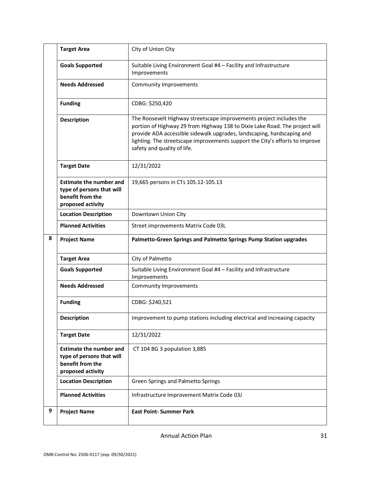|   | <b>Target Area</b>                                                                                   | City of Union City                                                                                                                                                                                                                                                                                                                          |
|---|------------------------------------------------------------------------------------------------------|---------------------------------------------------------------------------------------------------------------------------------------------------------------------------------------------------------------------------------------------------------------------------------------------------------------------------------------------|
|   | <b>Goals Supported</b>                                                                               | Suitable Living Environment Goal #4 - Facility and Infrastructure<br>Improvements                                                                                                                                                                                                                                                           |
|   | <b>Needs Addressed</b>                                                                               | <b>Community Improvements</b>                                                                                                                                                                                                                                                                                                               |
|   | <b>Funding</b>                                                                                       | CDBG: \$250,420                                                                                                                                                                                                                                                                                                                             |
|   | <b>Description</b>                                                                                   | The Roosevelt Highway streetscape improvements project includes the<br>portion of Highway 29 from Highway 138 to Dixie Lake Road. The project will<br>provide ADA accessible sidewalk upgrades, landscaping, hardscaping and<br>lighting. The streetscape improvements support the City's efforts to improve<br>safety and quality of life. |
|   | <b>Target Date</b>                                                                                   | 12/31/2022                                                                                                                                                                                                                                                                                                                                  |
|   | <b>Estimate the number and</b><br>type of persons that will<br>benefit from the<br>proposed activity | 19,665 persons in CTs 105.12-105.13                                                                                                                                                                                                                                                                                                         |
|   | <b>Location Description</b>                                                                          | Downtown Union City                                                                                                                                                                                                                                                                                                                         |
|   | <b>Planned Activities</b>                                                                            | Street improvements Matrix Code 03L                                                                                                                                                                                                                                                                                                         |
| 8 |                                                                                                      |                                                                                                                                                                                                                                                                                                                                             |
|   | <b>Project Name</b>                                                                                  | Palmetto-Green Springs and Palmetto Springs Pump Station upgrades                                                                                                                                                                                                                                                                           |
|   | <b>Target Area</b>                                                                                   | City of Palmetto                                                                                                                                                                                                                                                                                                                            |
|   | <b>Goals Supported</b>                                                                               | Suitable Living Environment Goal #4 - Facility and Infrastructure<br>Improvements                                                                                                                                                                                                                                                           |
|   | <b>Needs Addressed</b>                                                                               | <b>Community Improvements</b>                                                                                                                                                                                                                                                                                                               |
|   | <b>Funding</b>                                                                                       | CDBG: \$240,521                                                                                                                                                                                                                                                                                                                             |
|   | <b>Description</b>                                                                                   | Improvement to pump stations including electrical and increasing capacity                                                                                                                                                                                                                                                                   |
|   | <b>Target Date</b>                                                                                   | 12/31/2022                                                                                                                                                                                                                                                                                                                                  |
|   | <b>Estimate the number and</b><br>type of persons that will<br>benefit from the<br>proposed activity | CT 104 BG 3 population 3,885                                                                                                                                                                                                                                                                                                                |
|   | <b>Location Description</b>                                                                          | Green Springs and Palmetto Springs                                                                                                                                                                                                                                                                                                          |
|   | <b>Planned Activities</b>                                                                            | Infrastructure Improvement Matrix Code 03J                                                                                                                                                                                                                                                                                                  |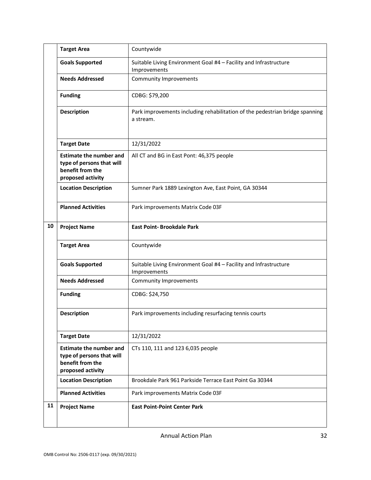|    | <b>Target Area</b>                                                                                   | Countywide                                                                                |
|----|------------------------------------------------------------------------------------------------------|-------------------------------------------------------------------------------------------|
|    | <b>Goals Supported</b>                                                                               | Suitable Living Environment Goal #4 - Facility and Infrastructure<br>Improvements         |
|    | <b>Needs Addressed</b>                                                                               | <b>Community Improvements</b>                                                             |
|    | <b>Funding</b>                                                                                       | CDBG: \$79,200                                                                            |
|    | <b>Description</b>                                                                                   | Park improvements including rehabilitation of the pedestrian bridge spanning<br>a stream. |
|    | <b>Target Date</b>                                                                                   | 12/31/2022                                                                                |
|    | <b>Estimate the number and</b><br>type of persons that will<br>benefit from the<br>proposed activity | All CT and BG in East Pont: 46,375 people                                                 |
|    | <b>Location Description</b>                                                                          | Sumner Park 1889 Lexington Ave, East Point, GA 30344                                      |
|    | <b>Planned Activities</b>                                                                            | Park improvements Matrix Code 03F                                                         |
| 10 | <b>Project Name</b>                                                                                  | <b>East Point-Brookdale Park</b>                                                          |
|    | <b>Target Area</b>                                                                                   | Countywide                                                                                |
|    | <b>Goals Supported</b>                                                                               | Suitable Living Environment Goal #4 - Facility and Infrastructure<br>Improvements         |
|    | <b>Needs Addressed</b>                                                                               | <b>Community Improvements</b>                                                             |
|    | <b>Funding</b>                                                                                       | CDBG: \$24,750                                                                            |
|    | <b>Description</b>                                                                                   | Park improvements including resurfacing tennis courts                                     |
|    | <b>Target Date</b>                                                                                   | 12/31/2022                                                                                |
|    | <b>Estimate the number and</b><br>type of persons that will<br>benefit from the<br>proposed activity | CTs 110, 111 and 123 6,035 people                                                         |
|    | <b>Location Description</b>                                                                          | Brookdale Park 961 Parkside Terrace East Point Ga 30344                                   |
|    | <b>Planned Activities</b>                                                                            | Park improvements Matrix Code 03F                                                         |
| 11 | <b>Project Name</b>                                                                                  | <b>East Point-Point Center Park</b>                                                       |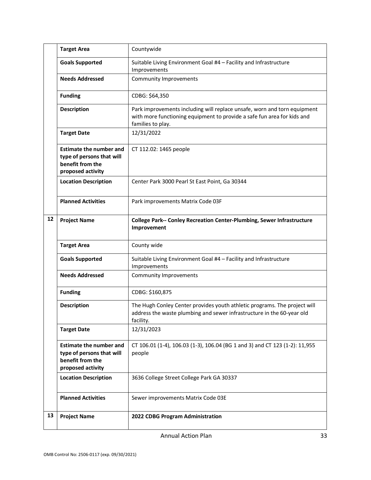|    | <b>Target Area</b>                                                                                   | Countywide                                                                                                                                                               |
|----|------------------------------------------------------------------------------------------------------|--------------------------------------------------------------------------------------------------------------------------------------------------------------------------|
|    | <b>Goals Supported</b>                                                                               | Suitable Living Environment Goal #4 - Facility and Infrastructure<br>Improvements                                                                                        |
|    | <b>Needs Addressed</b>                                                                               | <b>Community Improvements</b>                                                                                                                                            |
|    | <b>Funding</b>                                                                                       | CDBG: \$64,350                                                                                                                                                           |
|    | <b>Description</b>                                                                                   | Park improvements including will replace unsafe, worn and torn equipment<br>with more functioning equipment to provide a safe fun area for kids and<br>families to play. |
|    | <b>Target Date</b>                                                                                   | 12/31/2022                                                                                                                                                               |
|    | <b>Estimate the number and</b><br>type of persons that will<br>benefit from the<br>proposed activity | CT 112.02: 1465 people                                                                                                                                                   |
|    | <b>Location Description</b>                                                                          | Center Park 3000 Pearl St East Point, Ga 30344                                                                                                                           |
|    | <b>Planned Activities</b>                                                                            | Park improvements Matrix Code 03F                                                                                                                                        |
| 12 | <b>Project Name</b>                                                                                  | College Park-- Conley Recreation Center-Plumbing, Sewer Infrastructure<br>Improvement                                                                                    |
|    | <b>Target Area</b>                                                                                   | County wide                                                                                                                                                              |
|    | <b>Goals Supported</b>                                                                               | Suitable Living Environment Goal #4 - Facility and Infrastructure<br>Improvements                                                                                        |
|    | <b>Needs Addressed</b>                                                                               | <b>Community Improvements</b>                                                                                                                                            |
|    | <b>Funding</b>                                                                                       | CDBG: \$160,875                                                                                                                                                          |
|    | <b>Description</b>                                                                                   | The Hugh Conley Center provides youth athletic programs. The project will<br>address the waste plumbing and sewer infrastructure in the 60-year old<br>facility.         |
|    | <b>Target Date</b>                                                                                   | 12/31/2023                                                                                                                                                               |
|    | <b>Estimate the number and</b><br>type of persons that will<br>benefit from the<br>proposed activity | CT 106.01 (1-4), 106.03 (1-3), 106.04 (BG 1 and 3) and CT 123 (1-2): 11,955<br>people                                                                                    |
|    | <b>Location Description</b>                                                                          | 3636 College Street College Park GA 30337                                                                                                                                |
|    | <b>Planned Activities</b>                                                                            | Sewer improvements Matrix Code 03E                                                                                                                                       |
| 13 | <b>Project Name</b>                                                                                  | 2022 CDBG Program Administration                                                                                                                                         |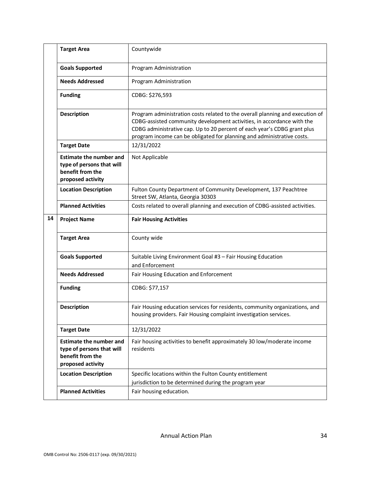|    | <b>Target Area</b>                                                                                   | Countywide                                                                                                                                                                                                                                                                                                    |
|----|------------------------------------------------------------------------------------------------------|---------------------------------------------------------------------------------------------------------------------------------------------------------------------------------------------------------------------------------------------------------------------------------------------------------------|
|    | <b>Goals Supported</b>                                                                               | Program Administration                                                                                                                                                                                                                                                                                        |
|    | <b>Needs Addressed</b>                                                                               | Program Administration                                                                                                                                                                                                                                                                                        |
|    | <b>Funding</b>                                                                                       | CDBG: \$276,593                                                                                                                                                                                                                                                                                               |
|    | Description                                                                                          | Program administration costs related to the overall planning and execution of<br>CDBG-assisted community development activities, in accordance with the<br>CDBG administrative cap. Up to 20 percent of each year's CDBG grant plus<br>program income can be obligated for planning and administrative costs. |
|    | <b>Target Date</b>                                                                                   | 12/31/2022                                                                                                                                                                                                                                                                                                    |
|    | <b>Estimate the number and</b><br>type of persons that will<br>benefit from the<br>proposed activity | Not Applicable                                                                                                                                                                                                                                                                                                |
|    | <b>Location Description</b>                                                                          | Fulton County Department of Community Development, 137 Peachtree<br>Street SW, Atlanta, Georgia 30303                                                                                                                                                                                                         |
|    | <b>Planned Activities</b>                                                                            | Costs related to overall planning and execution of CDBG-assisted activities.                                                                                                                                                                                                                                  |
| 14 | <b>Project Name</b>                                                                                  | <b>Fair Housing Activities</b>                                                                                                                                                                                                                                                                                |
|    | <b>Target Area</b>                                                                                   | County wide                                                                                                                                                                                                                                                                                                   |
|    | <b>Goals Supported</b>                                                                               | Suitable Living Environment Goal #3 - Fair Housing Education<br>and Enforcement                                                                                                                                                                                                                               |
|    | <b>Needs Addressed</b>                                                                               | Fair Housing Education and Enforcement                                                                                                                                                                                                                                                                        |
|    | <b>Funding</b>                                                                                       | CDBG: \$77,157                                                                                                                                                                                                                                                                                                |
|    | Description                                                                                          | Fair Housing education services for residents, community organizations, and<br>housing providers. Fair Housing complaint investigation services.                                                                                                                                                              |
|    | <b>Target Date</b>                                                                                   | 12/31/2022                                                                                                                                                                                                                                                                                                    |
|    | <b>Estimate the number and</b><br>type of persons that will<br>benefit from the<br>proposed activity | Fair housing activities to benefit approximately 30 low/moderate income<br>residents                                                                                                                                                                                                                          |
|    | <b>Location Description</b>                                                                          | Specific locations within the Fulton County entitlement<br>jurisdiction to be determined during the program year                                                                                                                                                                                              |
|    | <b>Planned Activities</b>                                                                            | Fair housing education.                                                                                                                                                                                                                                                                                       |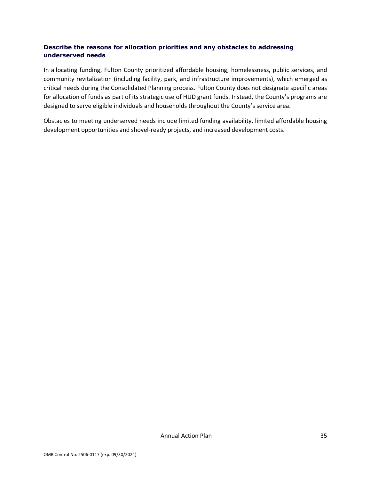#### **Describe the reasons for allocation priorities and any obstacles to addressing underserved needs**

In allocating funding, Fulton County prioritized affordable housing, homelessness, public services, and community revitalization (including facility, park, and infrastructure improvements), which emerged as critical needs during the Consolidated Planning process. Fulton County does not designate specific areas for allocation of funds as part of its strategic use of HUD grant funds. Instead, the County's programs are designed to serve eligible individuals and households throughout the County's service area.

Obstacles to meeting underserved needs include limited funding availability, limited affordable housing development opportunities and shovel-ready projects, and increased development costs.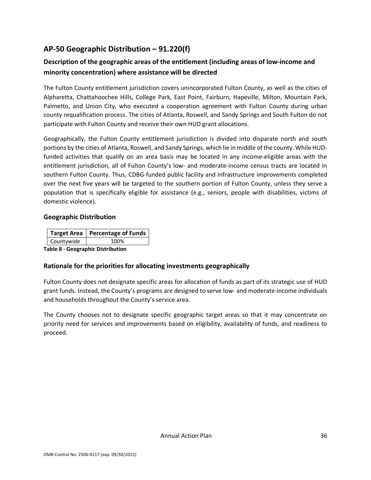## <span id="page-37-0"></span>**AP-50 Geographic Distribution – 91.220(f)**

## **Description of the geographic areas of the entitlement (including areas of low-income and minority concentration) where assistance will be directed**

The Fulton County entitlement jurisdiction covers unincorporated Fulton County, as well as the cities of Alpharetta, Chattahoochee Hills, College Park, East Point, Fairburn, Hapeville, Milton, Mountain Park, Palmetto, and Union City, who executed a cooperation agreement with Fulton County during urban county requalification process. The cities of Atlanta, Roswell, and Sandy Springs and South Fulton do not participate with Fulton County and receive their own HUD grant allocations.

Geographically, the Fulton County entitlement jurisdiction is divided into disparate north and south portions by the cities of Atlanta, Roswell, and Sandy Springs, which lie in middle of the county. While HUDfunded activities that qualify on an area basis may be located in any income-eligible areas with the entitlement jurisdiction, all of Fulton County's low- and moderate-income census tracts are located in southern Fulton County. Thus, CDBG-funded public facility and infrastructure improvements completed over the next five years will be targeted to the southern portion of Fulton County, unless they serve a population that is specifically eligible for assistance (e.g., seniors, people with disabilities, victims of domestic violence).

#### **Geographic Distribution**

|                                          | Target Area   Percentage of Funds |  |  |
|------------------------------------------|-----------------------------------|--|--|
| Countywide                               | 100%                              |  |  |
| <b>Table 8 - Geographic Distribution</b> |                                   |  |  |

## **Rationale for the priorities for allocating investments geographically**

Fulton County does not designate specific areas for allocation of funds as part of its strategic use of HUD grant funds. Instead, the County's programs are designed to serve low- and moderate-income individuals and households throughout the County's service area.

The County chooses not to designate specific geographic target areas so that it may concentrate on priority need for services and improvements based on eligibility, availability of funds, and readiness to proceed.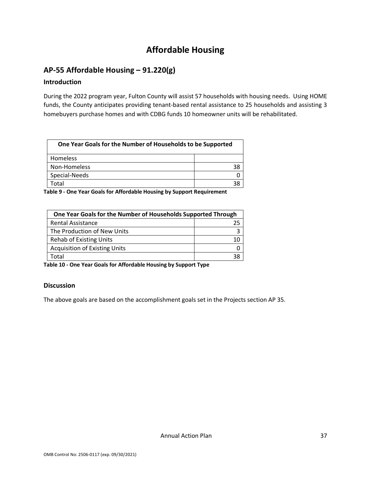## **Affordable Housing**

## <span id="page-38-1"></span><span id="page-38-0"></span>**AP-55 Affordable Housing – 91.220(g)**

#### **Introduction**

During the 2022 program year, Fulton County will assist 57 households with housing needs. Using HOME funds, the County anticipates providing tenant-based rental assistance to 25 households and assisting 3 homebuyers purchase homes and with CDBG funds 10 homeowner units will be rehabilitated.

| One Year Goals for the Number of Households to be Supported |    |  |
|-------------------------------------------------------------|----|--|
| Homeless                                                    |    |  |
| Non-Homeless                                                | 38 |  |
| Special-Needs                                               |    |  |
| otal.                                                       |    |  |

**Table 9 - One Year Goals for Affordable Housing by Support Requirement**

| One Year Goals for the Number of Households Supported Through |    |
|---------------------------------------------------------------|----|
| <b>Rental Assistance</b>                                      | 25 |
| The Production of New Units                                   |    |
| <b>Rehab of Existing Units</b>                                | 10 |
| <b>Acquisition of Existing Units</b>                          |    |
| Гоtal                                                         |    |

**Table 10 - One Year Goals for Affordable Housing by Support Type**

#### **Discussion**

The above goals are based on the accomplishment goals set in the Projects section AP 35.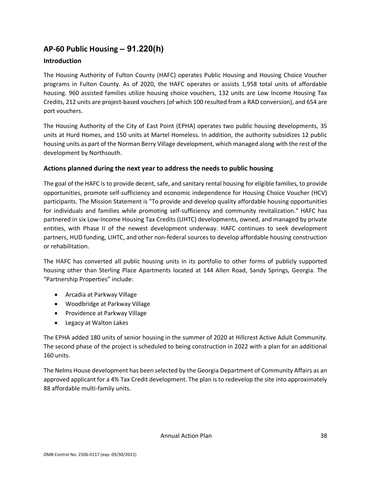## <span id="page-39-0"></span>**AP-60 Public Housing** *–* **91.220(h)**

#### **Introduction**

The Housing Authority of Fulton County (HAFC) operates Public Housing and Housing Choice Voucher programs in Fulton County. As of 2020, the HAFC operates or assists 1,958 total units of affordable housing. 960 assisted families utilize housing choice vouchers, 132 units are Low Income Housing Tax Credits, 212 units are project-based vouchers (of which 100 resulted from a RAD conversion), and 654 are port vouchers.

The Housing Authority of the City of East Point (EPHA) operates two public housing developments, 35 units at Hurd Homes, and 150 units at Martel Homeless. In addition, the authority subsidizes 12 public housing units as part of the Norman Berry Village development, which managed along with the rest of the development by Northsouth.

#### **Actions planned during the next year to address the needs to public housing**

The goal of the HAFC is to provide decent, safe, and sanitary rental housing for eligible families, to provide opportunities, promote self-sufficiency and economic independence for Housing Choice Voucher (HCV) participants. The Mission Statement is "To provide and develop quality affordable housing opportunities for individuals and families while promoting self-sufficiency and community revitalization." HAFC has partnered in six Low-Income Housing Tax Credits (LIHTC) developments, owned, and managed by private entities, with Phase II of the newest development underway. HAFC continues to seek development partners, HUD funding, LIHTC, and other non-federal sources to develop affordable housing construction or rehabilitation.

The HAFC has converted all public housing units in its portfolio to other forms of publicly supported housing other than Sterling Place Apartments located at 144 Allen Road, Sandy Springs, Georgia. The "Partnership Properties" include:

- Arcadia at Parkway Village
- Woodbridge at Parkway Village
- Providence at Parkway Village
- Legacy at Walton Lakes

The EPHA added 180 units of senior housing in the summer of 2020 at Hillcrest Active Adult Community. The second phase of the project is scheduled to being construction in 2022 with a plan for an additional 160 units.

The Nelms House development has been selected by the Georgia Department of Community Affairs as an approved applicant for a 4% Tax Credit development. The plan is to redevelop the site into approximately 88 affordable multi-family units.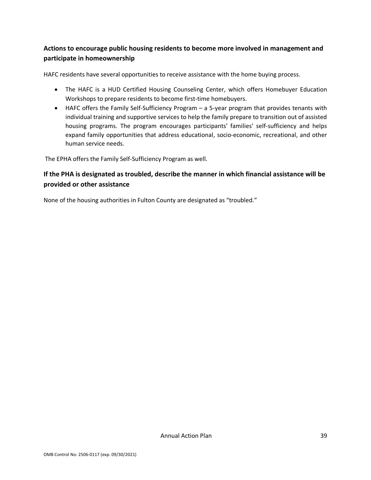## **Actions to encourage public housing residents to become more involved in management and participate in homeownership**

HAFC residents have several opportunities to receive assistance with the home buying process.

- The HAFC is a HUD Certified Housing Counseling Center, which offers Homebuyer Education Workshops to prepare residents to become first-time homebuyers.
- HAFC offers the Family Self-Sufficiency Program a 5-year program that provides tenants with individual training and supportive services to help the family prepare to transition out of assisted housing programs. The program encourages participants' families' self-sufficiency and helps expand family opportunities that address educational, socio-economic, recreational, and other human service needs.

The EPHA offers the Family Self-Sufficiency Program as well.

## **If the PHA is designated as troubled, describe the manner in which financial assistance will be provided or other assistance**

None of the housing authorities in Fulton County are designated as "troubled."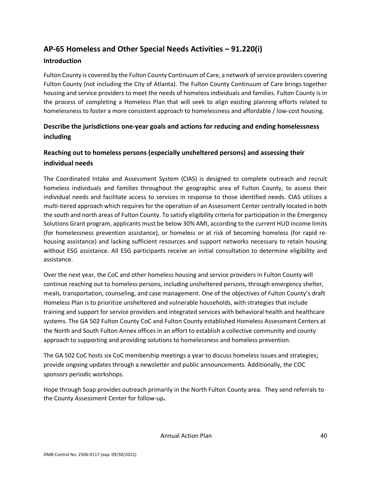## <span id="page-41-0"></span>**AP-65 Homeless and Other Special Needs Activities – 91.220(i)**

#### **Introduction**

Fulton County is covered by the Fulton County Continuum of Care, a network of service providers covering Fulton County (not including the City of Atlanta). The Fulton County Continuum of Care brings together housing and service providers to meet the needs of homeless individuals and families. Fulton County is in the process of completing a Homeless Plan that will seek to align existing planning efforts related to homelessness to foster a more consistent approach to homelessness and affordable / low-cost housing.

## **Describe the jurisdictions one-year goals and actions for reducing and ending homelessness including**

## **Reaching out to homeless persons (especially unsheltered persons) and assessing their individual needs**

The Coordinated Intake and Assessment System (CIAS) is designed to complete outreach and recruit homeless individuals and families throughout the geographic area of Fulton County, to assess their individual needs and facilitate access to services in response to those identified needs. CIAS utilizes a multi-tiered approach which requires for the operation of an Assessment Center centrally located in both the south and north areas of Fulton County. To satisfy eligibility criteria for participation in the Emergency Solutions Grant program, applicants must be below 30% AMI, according to the current HUD income limits (for homelessness prevention assistance), or homeless or at risk of becoming homeless (for rapid rehousing assistance) and lacking sufficient resources and support networks necessary to retain housing without ESG assistance. All ESG participants receive an initial consultation to determine eligibility and assistance.

Over the next year, the CoC and other homeless housing and service providers in Fulton County will continue reaching out to homeless persons, including unsheltered persons, through emergency shelter, meals, transportation, counseling, and case management. One of the objectives of Fulton County's draft Homeless Plan is to prioritize unsheltered and vulnerable households, with strategies that include training and support for service providers and integrated services with behavioral health and healthcare systems. The GA 502 Fulton County CoC and Fulton County established Homeless Assessment Centers at the North and South Fulton Annex offices in an effort to establish a collective community and county approach to supporting and providing solutions to homelessness and homeless prevention.

The GA 502 CoC hosts six CoC membership meetings a year to discuss homeless issues and strategies; provide ongoing updates through a newsletter and public announcements. Additionally, the COC sponsors periodic workshops.

Hope through Soap provides outreach primarily in the North Fulton County area. They send referrals to the County Assessment Center for follow-up**.**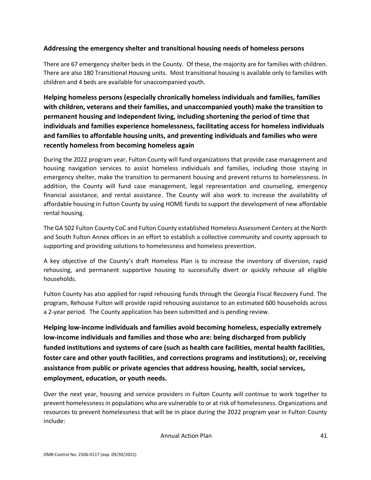#### **Addressing the emergency shelter and transitional housing needs of homeless persons**

There are 67 emergency shelter beds in the County. Of these, the majority are for families with children. There are also 180 Transitional Housing units. Most transitional housing is available only to families with children and 4 beds are available for unaccompanied youth.

**Helping homeless persons (especially chronically homeless individuals and families, families with children, veterans and their families, and unaccompanied youth) make the transition to permanent housing and independent living, including shortening the period of time that individuals and families experience homelessness, facilitating access for homeless individuals and families to affordable housing units, and preventing individuals and families who were recently homeless from becoming homeless again**

During the 2022 program year, Fulton County will fund organizations that provide case management and housing navigation services to assist homeless individuals and families, including those staying in emergency shelter, make the transition to permanent housing and prevent returns to homelessness. In addition, the County will fund case management, legal representation and counseling, emergency financial assistance, and rental assistance. The County will also work to increase the availability of affordable housing in Fulton County by using HOME funds to support the development of new affordable rental housing.

The GA 502 Fulton County CoC and Fulton County established Homeless Assessment Centers at the North and South Fulton Annex offices in an effort to establish a collective community and county approach to supporting and providing solutions to homelessness and homeless prevention.

A key objective of the County's draft Homeless Plan is to increase the inventory of diversion, rapid rehousing, and permanent supportive housing to successfully divert or quickly rehouse all eligible households.

Fulton County has also applied for rapid rehousing funds through the Georgia Fiscal Recovery Fund. The program, Rehouse Fulton will provide rapid rehousing assistance to an estimated 600 households across a 2-year period. The County application has been submitted and is pending review.

**Helping low-income individuals and families avoid becoming homeless, especially extremely low-income individuals and families and those who are: being discharged from publicly funded institutions and systems of care (such as health care facilities, mental health facilities, foster care and other youth facilities, and corrections programs and institutions); or, receiving assistance from public or private agencies that address housing, health, social services, employment, education, or youth needs.**

Over the next year, housing and service providers in Fulton County will continue to work together to prevent homelessness in populations who are vulnerable to or at risk of homelessness. Organizations and resources to prevent homelessness that will be in place during the 2022 program year in Fulton County include: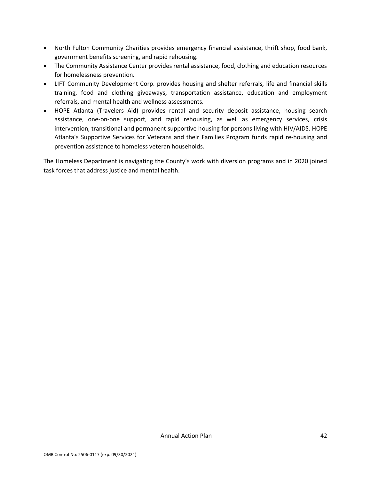- North Fulton Community Charities provides emergency financial assistance, thrift shop, food bank, government benefits screening, and rapid rehousing.
- The Community Assistance Center provides rental assistance, food, clothing and education resources for homelessness prevention.
- LIFT Community Development Corp. provides housing and shelter referrals, life and financial skills training, food and clothing giveaways, transportation assistance, education and employment referrals, and mental health and wellness assessments.
- HOPE Atlanta (Travelers Aid) provides rental and security deposit assistance, housing search assistance, one-on-one support, and rapid rehousing, as well as emergency services, crisis intervention, transitional and permanent supportive housing for persons living with HIV/AIDS. HOPE Atlanta's Supportive Services for Veterans and their Families Program funds rapid re-housing and prevention assistance to homeless veteran households.

The Homeless Department is navigating the County's work with diversion programs and in 2020 joined task forces that address justice and mental health.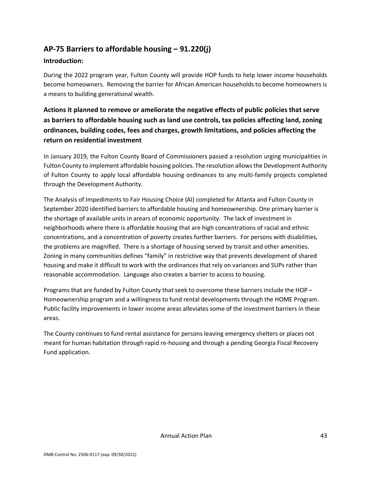## <span id="page-44-0"></span>**AP-75 Barriers to affordable housing – 91.220(j)**

#### **Introduction:**

During the 2022 program year, Fulton County will provide HOP funds to help lower income households become homeowners. Removing the barrier for African American households to become homeowners is a means to building generational wealth.

## **Actions it planned to remove or ameliorate the negative effects of public policies that serve as barriers to affordable housing such as land use controls, tax policies affecting land, zoning ordinances, building codes, fees and charges, growth limitations, and policies affecting the return on residential investment**

In January 2019, the Fulton County Board of Commissioners passed a resolution urging municipalities in Fulton County to implement affordable housing policies. The resolution allows the Development Authority of Fulton County to apply local affordable housing ordinances to any multi-family projects completed through the Development Authority.

The Analysis of Impediments to Fair Housing Choice (AI) completed for Atlanta and Fulton County in September 2020 identified barriers to affordable housing and homeownership. One primary barrier is the shortage of available units in arears of economic opportunity. The lack of investment in neighborhoods where there is affordable housing that are high concentrations of racial and ethnic concentrations, and a concentration of poverty creates further barriers. For persons with disabilities, the problems are magnified. There is a shortage of housing served by transit and other amenities. Zoning in many communities defines "family" in restrictive way that prevents development of shared housing and make it difficult to work with the ordinances that rely on variances and SUPs rather than reasonable accommodation. Language also creates a barrier to access to housing.

Programs that are funded by Fulton County that seek to overcome these barriers include the HOP – Homeownership program and a willingness to fund rental developments through the HOME Program. Public facility improvements in lower income areas alleviates some of the investment barriers in these areas.

The County continues to fund rental assistance for persons leaving emergency shelters or places not meant for human habitation through rapid re-housing and through a pending Georgia Fiscal Recovery Fund application.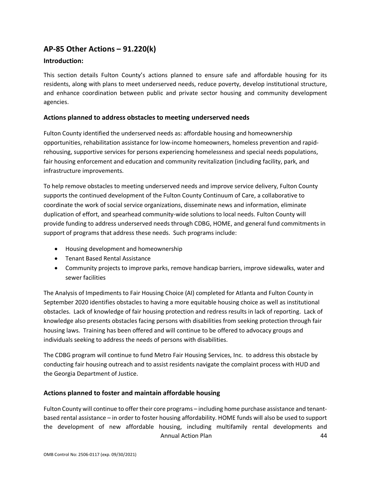## <span id="page-45-0"></span>**AP-85 Other Actions – 91.220(k)**

#### **Introduction:**

This section details Fulton County's actions planned to ensure safe and affordable housing for its residents, along with plans to meet underserved needs, reduce poverty, develop institutional structure, and enhance coordination between public and private sector housing and community development agencies.

#### **Actions planned to address obstacles to meeting underserved needs**

Fulton County identified the underserved needs as: affordable housing and homeownership opportunities, rehabilitation assistance for low-income homeowners, homeless prevention and rapidrehousing, supportive services for persons experiencing homelessness and special needs populations, fair housing enforcement and education and community revitalization (including facility, park, and infrastructure improvements.

To help remove obstacles to meeting underserved needs and improve service delivery, Fulton County supports the continued development of the Fulton County Continuum of Care, a collaborative to coordinate the work of social service organizations, disseminate news and information, eliminate duplication of effort, and spearhead community-wide solutions to local needs. Fulton County will provide funding to address underserved needs through CDBG, HOME, and general fund commitments in support of programs that address these needs. Such programs include:

- Housing development and homeownership
- Tenant Based Rental Assistance
- Community projects to improve parks, remove handicap barriers, improve sidewalks, water and sewer facilities

The Analysis of Impediments to Fair Housing Choice (AI) completed for Atlanta and Fulton County in September 2020 identifies obstacles to having a more equitable housing choice as well as institutional obstacles. Lack of knowledge of fair housing protection and redress results in lack of reporting. Lack of knowledge also presents obstacles facing persons with disabilities from seeking protection through fair housing laws. Training has been offered and will continue to be offered to advocacy groups and individuals seeking to address the needs of persons with disabilities.

The CDBG program will continue to fund Metro Fair Housing Services, Inc. to address this obstacle by conducting fair housing outreach and to assist residents navigate the complaint process with HUD and the Georgia Department of Justice.

#### **Actions planned to foster and maintain affordable housing**

Annual Action Plan 44 Fulton County will continue to offer their core programs – including home purchase assistance and tenantbased rental assistance – in order to foster housing affordability. HOME funds will also be used to support the development of new affordable housing, including multifamily rental developments and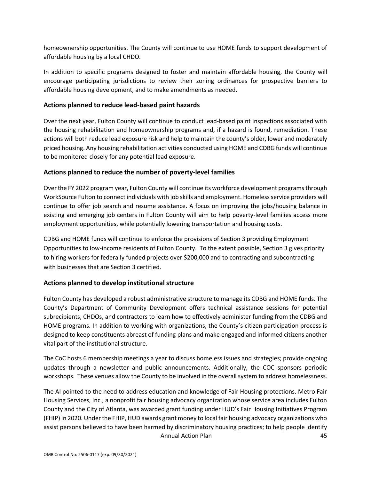homeownership opportunities. The County will continue to use HOME funds to support development of affordable housing by a local CHDO.

In addition to specific programs designed to foster and maintain affordable housing, the County will encourage participating jurisdictions to review their zoning ordinances for prospective barriers to affordable housing development, and to make amendments as needed.

#### **Actions planned to reduce lead-based paint hazards**

Over the next year, Fulton County will continue to conduct lead-based paint inspections associated with the housing rehabilitation and homeownership programs and, if a hazard is found, remediation. These actions will both reduce lead exposure risk and help to maintain the county's older, lower and moderately priced housing. Any housing rehabilitation activities conducted using HOME and CDBG funds will continue to be monitored closely for any potential lead exposure.

#### **Actions planned to reduce the number of poverty-level families**

Over the FY 2022 program year, Fulton County will continue its workforce development programs through WorkSource Fulton to connect individuals with job skills and employment. Homeless service providers will continue to offer job search and resume assistance. A focus on improving the jobs/housing balance in existing and emerging job centers in Fulton County will aim to help poverty-level families access more employment opportunities, while potentially lowering transportation and housing costs.

CDBG and HOME funds will continue to enforce the provisions of Section 3 providing Employment Opportunities to low-income residents of Fulton County. To the extent possible, Section 3 gives priority to hiring workers for federally funded projects over \$200,000 and to contracting and subcontracting with businesses that are Section 3 certified.

#### **Actions planned to develop institutional structure**

Fulton County has developed a robust administrative structure to manage its CDBG and HOME funds. The County's Department of Community Development offers technical assistance sessions for potential subrecipients, CHDOs, and contractors to learn how to effectively administer funding from the CDBG and HOME programs. In addition to working with organizations, the County's citizen participation process is designed to keep constituents abreast of funding plans and make engaged and informed citizens another vital part of the institutional structure.

The CoC hosts 6 membership meetings a year to discuss homeless issues and strategies; provide ongoing updates through a newsletter and public announcements. Additionally, the COC sponsors periodic workshops. These venues allow the County to be involved in the overall system to address homelessness.

Annual Action Plan 45 The AI pointed to the need to address education and knowledge of Fair Housing protections. Metro Fair Housing Services, Inc., a nonprofit fair housing advocacy organization whose service area includes Fulton County and the City of Atlanta, was awarded grant funding under HUD's Fair Housing Initiatives Program (FHIP) in 2020. Under the FHIP, HUD awards grant money to local fair housing advocacy organizations who assist persons believed to have been harmed by discriminatory housing practices; to help people identify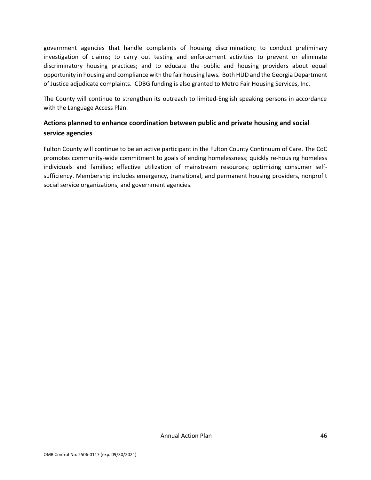government agencies that handle complaints of housing discrimination; to conduct preliminary investigation of claims; to carry out testing and enforcement activities to prevent or eliminate discriminatory housing practices; and to educate the public and housing providers about equal opportunity in housing and compliance with the fair housing laws. Both HUD and the Georgia Department of Justice adjudicate complaints. CDBG funding is also granted to Metro Fair Housing Services, Inc.

The County will continue to strengthen its outreach to limited-English speaking persons in accordance with the Language Access Plan.

## **Actions planned to enhance coordination between public and private housing and social service agencies**

Fulton County will continue to be an active participant in the Fulton County Continuum of Care. The CoC promotes community-wide commitment to goals of ending homelessness; quickly re-housing homeless individuals and families; effective utilization of mainstream resources; optimizing consumer selfsufficiency. Membership includes emergency, transitional, and permanent housing providers, nonprofit social service organizations, and government agencies.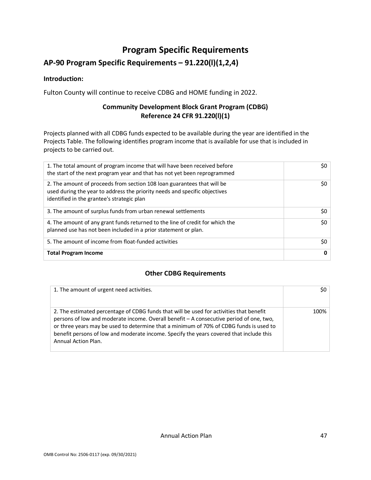## **Program Specific Requirements**

## <span id="page-48-0"></span>**AP-90 Program Specific Requirements – 91.220(l)(1,2,4)**

#### **Introduction:**

Fulton County will continue to receive CDBG and HOME funding in 2022.

### **Community Development Block Grant Program (CDBG) Reference 24 CFR 91.220(l)(1)**

Projects planned with all CDBG funds expected to be available during the year are identified in the Projects Table. The following identifies program income that is available for use that is included in projects to be carried out.

| 1. The total amount of program income that will have been received before<br>the start of the next program year and that has not yet been reprogrammed                                              | 50 <sup>1</sup> |
|-----------------------------------------------------------------------------------------------------------------------------------------------------------------------------------------------------|-----------------|
| 2. The amount of proceeds from section 108 loan guarantees that will be<br>used during the year to address the priority needs and specific objectives<br>identified in the grantee's strategic plan | \$0             |
| 3. The amount of surplus funds from urban renewal settlements                                                                                                                                       | \$0             |
| 4. The amount of any grant funds returned to the line of credit for which the<br>planned use has not been included in a prior statement or plan.                                                    | \$0             |
| 5. The amount of income from float-funded activities                                                                                                                                                | \$0             |
| <b>Total Program Income</b>                                                                                                                                                                         | $\mathbf{0}$    |

### **Other CDBG Requirements**

| 1. The amount of urgent need activities.                                                                                                                                                                                                                                                                                                                                                       | \$0 l |
|------------------------------------------------------------------------------------------------------------------------------------------------------------------------------------------------------------------------------------------------------------------------------------------------------------------------------------------------------------------------------------------------|-------|
| 2. The estimated percentage of CDBG funds that will be used for activities that benefit<br>persons of low and moderate income. Overall benefit - A consecutive period of one, two,<br>or three years may be used to determine that a minimum of 70% of CDBG funds is used to<br>benefit persons of low and moderate income. Specify the years covered that include this<br>Annual Action Plan. | 100%  |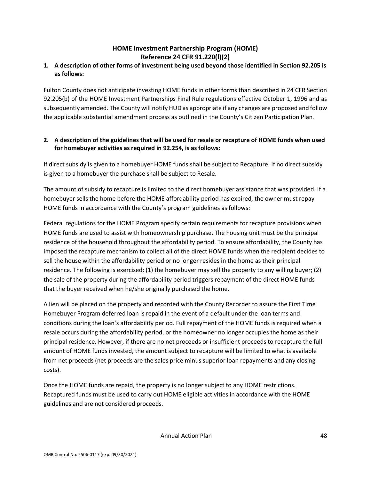## **HOME Investment Partnership Program (HOME) Reference 24 CFR 91.220(l)(2)**

### **1. A description of other forms of investment being used beyond those identified in Section 92.205 is as follows:**

Fulton County does not anticipate investing HOME funds in other forms than described in 24 CFR Section 92.205(b) of the HOME Investment Partnerships Final Rule regulations effective October 1, 1996 and as subsequently amended. The County will notify HUD as appropriate if any changes are proposed and follow the applicable substantial amendment process as outlined in the County's Citizen Participation Plan.

#### **2. A description of the guidelines that will be used for resale or recapture of HOME funds when used for homebuyer activities as required in 92.254, is as follows:**

If direct subsidy is given to a homebuyer HOME funds shall be subject to Recapture. If no direct subsidy is given to a homebuyer the purchase shall be subject to Resale.

The amount of subsidy to recapture is limited to the direct homebuyer assistance that was provided. If a homebuyer sells the home before the HOME affordability period has expired, the owner must repay HOME funds in accordance with the County's program guidelines as follows:

Federal regulations for the HOME Program specify certain requirements for recapture provisions when HOME funds are used to assist with homeownership purchase. The housing unit must be the principal residence of the household throughout the affordability period. To ensure affordability, the County has imposed the recapture mechanism to collect all of the direct HOME funds when the recipient decides to sell the house within the affordability period or no longer resides in the home as their principal residence. The following is exercised: (1) the homebuyer may sell the property to any willing buyer; (2) the sale of the property during the affordability period triggers repayment of the direct HOME funds that the buyer received when he/she originally purchased the home.

A lien will be placed on the property and recorded with the County Recorder to assure the First Time Homebuyer Program deferred loan is repaid in the event of a default under the loan terms and conditions during the loan's affordability period. Full repayment of the HOME funds is required when a resale occurs during the affordability period, or the homeowner no longer occupies the home as their principal residence. However, if there are no net proceeds or insufficient proceeds to recapture the full amount of HOME funds invested, the amount subject to recapture will be limited to what is available from net proceeds (net proceeds are the sales price minus superior loan repayments and any closing costs).

Once the HOME funds are repaid, the property is no longer subject to any HOME restrictions. Recaptured funds must be used to carry out HOME eligible activities in accordance with the HOME guidelines and are not considered proceeds.